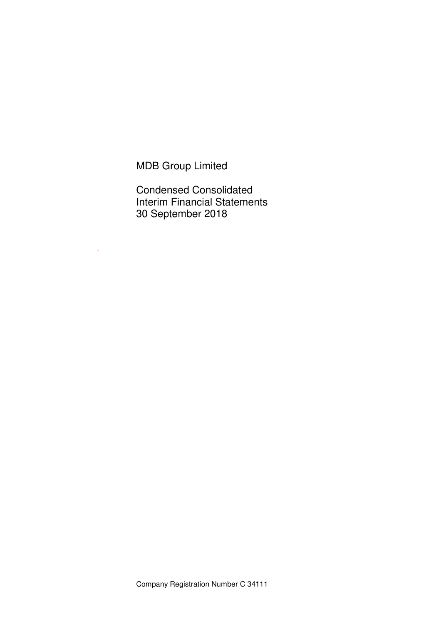MDB Group Limited

-

Condensed Consolidated Interim Financial Statements 30 September 2018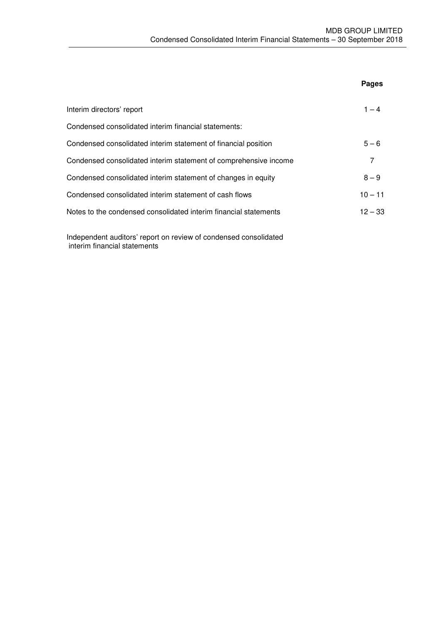|                                                                  | Pages     |
|------------------------------------------------------------------|-----------|
| Interim directors' report                                        | $1 - 4$   |
| Condensed consolidated interim financial statements:             |           |
| Condensed consolidated interim statement of financial position   | $5 - 6$   |
| Condensed consolidated interim statement of comprehensive income | 7         |
| Condensed consolidated interim statement of changes in equity    | $8 - 9$   |
| Condensed consolidated interim statement of cash flows           | $10 - 11$ |
| Notes to the condensed consolidated interim financial statements | $12 - 33$ |
|                                                                  |           |

Independent auditors' report on review of condensed consolidated interim financial statements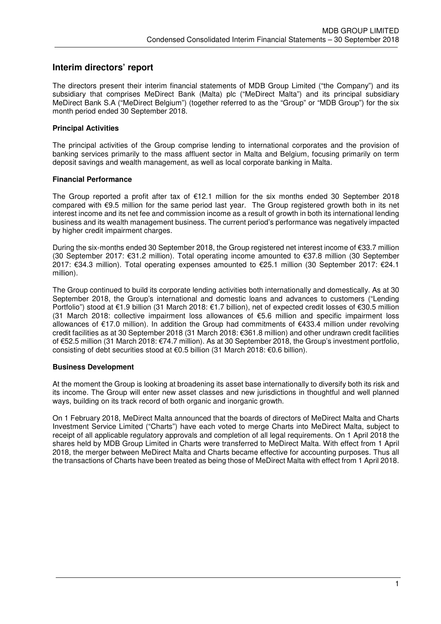## **Interim directors' report**

The directors present their interim financial statements of MDB Group Limited ("the Company") and its subsidiary that comprises MeDirect Bank (Malta) plc ("MeDirect Malta") and its principal subsidiary MeDirect Bank S.A ("MeDirect Belgium") (together referred to as the "Group" or "MDB Group") for the six month period ended 30 September 2018.

## **Principal Activities**

The principal activities of the Group comprise lending to international corporates and the provision of banking services primarily to the mass affluent sector in Malta and Belgium, focusing primarily on term deposit savings and wealth management, as well as local corporate banking in Malta.

## **Financial Performance**

The Group reported a profit after tax of  $E12.1$  million for the six months ended 30 September 2018 compared with €9.5 million for the same period last year. The Group registered growth both in its net interest income and its net fee and commission income as a result of growth in both its international lending business and its wealth management business. The current period's performance was negatively impacted by higher credit impairment charges.

During the six-months ended 30 September 2018, the Group registered net interest income of €33.7 million (30 September 2017: €31.2 million). Total operating income amounted to €37.8 million (30 September 2017: €34.3 million). Total operating expenses amounted to €25.1 million (30 September 2017: €24.1 million).

The Group continued to build its corporate lending activities both internationally and domestically. As at 30 September 2018, the Group's international and domestic loans and advances to customers ("Lending Portfolio") stood at €1.9 billion (31 March 2018: €1.7 billion), net of expected credit losses of €30.5 million (31 March 2018: collective impairment loss allowances of €5.6 million and specific impairment loss allowances of €17.0 million). In addition the Group had commitments of €433.4 million under revolving credit facilities as at 30 September 2018 (31 March 2018: €361.8 million) and other undrawn credit facilities of €52.5 million (31 March 2018: €74.7 million). As at 30 September 2018, the Group's investment portfolio, consisting of debt securities stood at €0.5 billion (31 March 2018: €0.6 billion).

#### **Business Development**

At the moment the Group is looking at broadening its asset base internationally to diversify both its risk and its income. The Group will enter new asset classes and new jurisdictions in thoughtful and well planned ways, building on its track record of both organic and inorganic growth.

On 1 February 2018, MeDirect Malta announced that the boards of directors of MeDirect Malta and Charts Investment Service Limited ("Charts") have each voted to merge Charts into MeDirect Malta, subject to receipt of all applicable regulatory approvals and completion of all legal requirements. On 1 April 2018 the shares held by MDB Group Limited in Charts were transferred to MeDirect Malta. With effect from 1 April 2018, the merger between MeDirect Malta and Charts became effective for accounting purposes. Thus all the transactions of Charts have been treated as being those of MeDirect Malta with effect from 1 April 2018.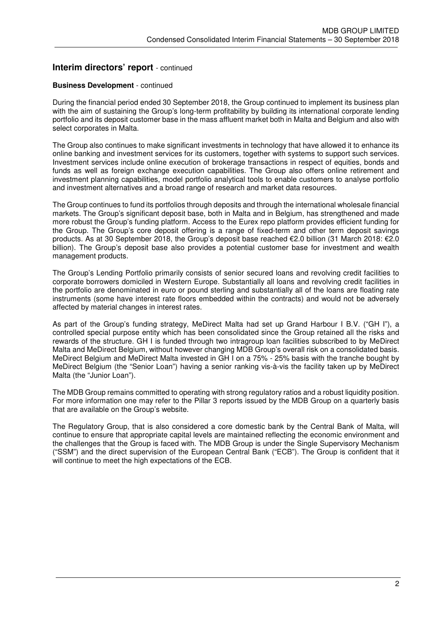## **Interim directors' report** - continued

## **Business Development** - continued

During the financial period ended 30 September 2018, the Group continued to implement its business plan with the aim of sustaining the Group's long-term profitability by building its international corporate lending portfolio and its deposit customer base in the mass affluent market both in Malta and Belgium and also with select corporates in Malta.

The Group also continues to make significant investments in technology that have allowed it to enhance its online banking and investment services for its customers, together with systems to support such services. Investment services include online execution of brokerage transactions in respect of equities, bonds and funds as well as foreign exchange execution capabilities. The Group also offers online retirement and investment planning capabilities, model portfolio analytical tools to enable customers to analyse portfolio and investment alternatives and a broad range of research and market data resources.

The Group continues to fund its portfolios through deposits and through the international wholesale financial markets. The Group's significant deposit base, both in Malta and in Belgium, has strengthened and made more robust the Group's funding platform. Access to the Eurex repo platform provides efficient funding for the Group. The Group's core deposit offering is a range of fixed-term and other term deposit savings products. As at 30 September 2018, the Group's deposit base reached €2.0 billion (31 March 2018: €2.0 billion). The Group's deposit base also provides a potential customer base for investment and wealth management products.

The Group's Lending Portfolio primarily consists of senior secured loans and revolving credit facilities to corporate borrowers domiciled in Western Europe. Substantially all loans and revolving credit facilities in the portfolio are denominated in euro or pound sterling and substantially all of the loans are floating rate instruments (some have interest rate floors embedded within the contracts) and would not be adversely affected by material changes in interest rates.

As part of the Group's funding strategy, MeDirect Malta had set up Grand Harbour I B.V. ("GH I"), a controlled special purpose entity which has been consolidated since the Group retained all the risks and rewards of the structure. GH I is funded through two intragroup loan facilities subscribed to by MeDirect Malta and MeDirect Belgium, without however changing MDB Group's overall risk on a consolidated basis. MeDirect Belgium and MeDirect Malta invested in GH I on a 75% - 25% basis with the tranche bought by MeDirect Belgium (the "Senior Loan") having a senior ranking vis-à-vis the facility taken up by MeDirect Malta (the "Junior Loan").

The MDB Group remains committed to operating with strong regulatory ratios and a robust liquidity position. For more information one may refer to the Pillar 3 reports issued by the MDB Group on a quarterly basis that are available on the Group's website.

The Regulatory Group, that is also considered a core domestic bank by the Central Bank of Malta, will continue to ensure that appropriate capital levels are maintained reflecting the economic environment and the challenges that the Group is faced with. The MDB Group is under the Single Supervisory Mechanism ("SSM") and the direct supervision of the European Central Bank ("ECB"). The Group is confident that it will continue to meet the high expectations of the ECB.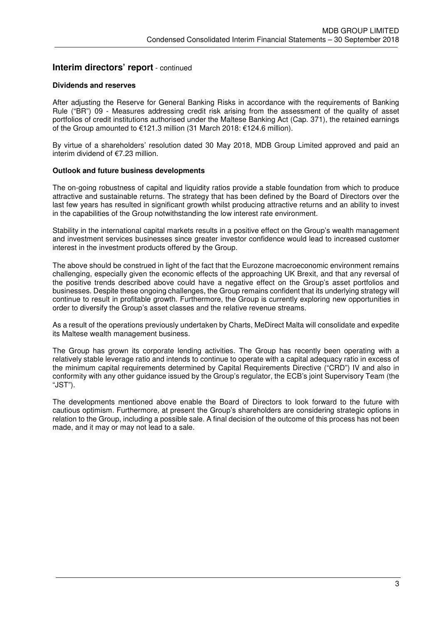## **Interim directors' report** - continued

#### **Dividends and reserves**

After adjusting the Reserve for General Banking Risks in accordance with the requirements of Banking Rule ("BR") 09 - Measures addressing credit risk arising from the assessment of the quality of asset portfolios of credit institutions authorised under the Maltese Banking Act (Cap. 371), the retained earnings of the Group amounted to €121.3 million (31 March 2018: €124.6 million).

By virtue of a shareholders' resolution dated 30 May 2018, MDB Group Limited approved and paid an interim dividend of €7.23 million.

#### **Outlook and future business developments**

The on-going robustness of capital and liquidity ratios provide a stable foundation from which to produce attractive and sustainable returns. The strategy that has been defined by the Board of Directors over the last few years has resulted in significant growth whilst producing attractive returns and an ability to invest in the capabilities of the Group notwithstanding the low interest rate environment.

Stability in the international capital markets results in a positive effect on the Group's wealth management and investment services businesses since greater investor confidence would lead to increased customer interest in the investment products offered by the Group.

The above should be construed in light of the fact that the Eurozone macroeconomic environment remains challenging, especially given the economic effects of the approaching UK Brexit, and that any reversal of the positive trends described above could have a negative effect on the Group's asset portfolios and businesses. Despite these ongoing challenges, the Group remains confident that its underlying strategy will continue to result in profitable growth. Furthermore, the Group is currently exploring new opportunities in order to diversify the Group's asset classes and the relative revenue streams.

As a result of the operations previously undertaken by Charts, MeDirect Malta will consolidate and expedite its Maltese wealth management business.

The Group has grown its corporate lending activities. The Group has recently been operating with a relatively stable leverage ratio and intends to continue to operate with a capital adequacy ratio in excess of the minimum capital requirements determined by Capital Requirements Directive ("CRD") IV and also in conformity with any other guidance issued by the Group's regulator, the ECB's joint Supervisory Team (the "JST").

The developments mentioned above enable the Board of Directors to look forward to the future with cautious optimism. Furthermore, at present the Group's shareholders are considering strategic options in relation to the Group, including a possible sale. A final decision of the outcome of this process has not been made, and it may or may not lead to a sale.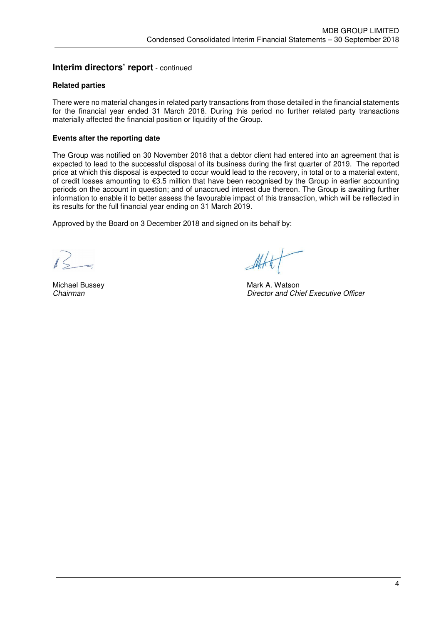## **Interim directors' report** - continued

## **Related parties**

There were no material changes in related party transactions from those detailed in the financial statements for the financial year ended 31 March 2018. During this period no further related party transactions materially affected the financial position or liquidity of the Group.

## **Events after the reporting date**

The Group was notified on 30 November 2018 that a debtor client had entered into an agreement that is expected to lead to the successful disposal of its business during the first quarter of 2019. The reported price at which this disposal is expected to occur would lead to the recovery, in total or to a material extent, of credit losses amounting to €3.5 million that have been recognised by the Group in earlier accounting periods on the account in question; and of unaccrued interest due thereon. The Group is awaiting further information to enable it to better assess the favourable impact of this transaction, which will be reflected in its results for the full financial year ending on 31 March 2019.

Approved by the Board on 3 December 2018 and signed on its behalf by:

Michael Bussey **Michael Bussey** Mark A. Watson *Chairman Director and Chief Executive Officer*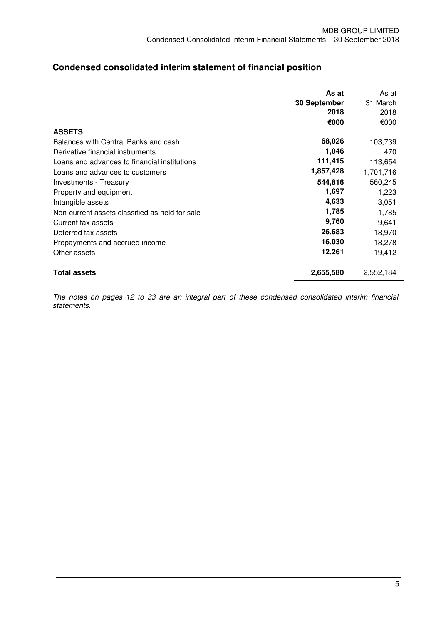# **Condensed consolidated interim statement of financial position**

|                                                | As at        | As at     |
|------------------------------------------------|--------------|-----------|
|                                                | 30 September | 31 March  |
|                                                | 2018         | 2018      |
|                                                | €000         | €000      |
| <b>ASSETS</b>                                  |              |           |
| Balances with Central Banks and cash           | 68,026       | 103,739   |
| Derivative financial instruments               | 1,046        | 470       |
| Loans and advances to financial institutions   | 111,415      | 113,654   |
| Loans and advances to customers                | 1,857,428    | 1,701,716 |
| Investments - Treasury                         | 544,816      | 560,245   |
| Property and equipment                         | 1,697        | 1,223     |
| Intangible assets                              | 4,633        | 3,051     |
| Non-current assets classified as held for sale | 1,785        | 1,785     |
| Current tax assets                             | 9,760        | 9,641     |
| Deferred tax assets                            | 26,683       | 18,970    |
| Prepayments and accrued income                 | 16,030       | 18,278    |
| Other assets                                   | 12,261       | 19,412    |
| <b>Total assets</b>                            | 2,655,580    | 2,552,184 |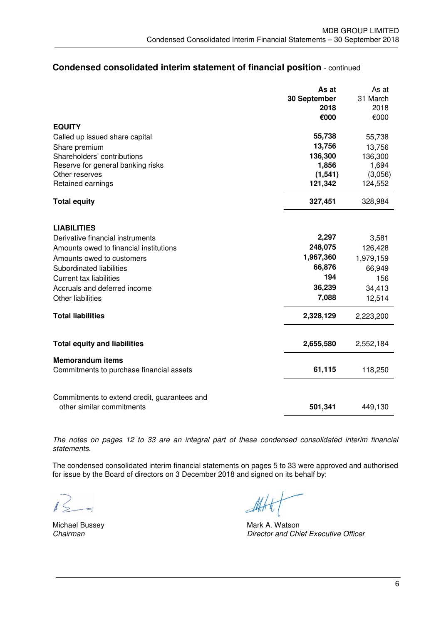# **Condensed consolidated interim statement of financial position** - continued

|                                                                           | As at        | As at     |
|---------------------------------------------------------------------------|--------------|-----------|
|                                                                           | 30 September | 31 March  |
|                                                                           | 2018         | 2018      |
|                                                                           | €000         | €000      |
| <b>EQUITY</b>                                                             |              |           |
| Called up issued share capital                                            | 55,738       | 55,738    |
| Share premium                                                             | 13,756       | 13,756    |
| Shareholders' contributions                                               | 136,300      | 136,300   |
| Reserve for general banking risks                                         | 1,856        | 1,694     |
| Other reserves                                                            | (1, 541)     | (3,056)   |
| Retained earnings                                                         | 121,342      | 124,552   |
| <b>Total equity</b>                                                       | 327,451      | 328,984   |
| <b>LIABILITIES</b>                                                        |              |           |
| Derivative financial instruments                                          | 2,297        | 3,581     |
| Amounts owed to financial institutions                                    | 248,075      | 126,428   |
| Amounts owed to customers                                                 | 1,967,360    | 1,979,159 |
| Subordinated liabilities                                                  | 66,876       | 66,949    |
| <b>Current tax liabilities</b>                                            | 194          | 156       |
| Accruals and deferred income                                              | 36,239       | 34,413    |
|                                                                           | 7,088        |           |
| <b>Other liabilities</b>                                                  |              | 12,514    |
| <b>Total liabilities</b>                                                  | 2,328,129    | 2,223,200 |
| <b>Total equity and liabilities</b>                                       | 2,655,580    | 2,552,184 |
| <b>Memorandum items</b>                                                   |              |           |
| Commitments to purchase financial assets                                  | 61,115       | 118,250   |
|                                                                           |              |           |
| Commitments to extend credit, guarantees and<br>other similar commitments | 501,341      | 449,130   |

*The notes on pages 12 to 33 are an integral part of these condensed consolidated interim financial statements.* 

The condensed consolidated interim financial statements on pages 5 to 33 were approved and authorised for issue by the Board of directors on 3 December 2018 and signed on its behalf by:

Michael Bussey **Michael Bussey State A. Watson**<br>Chairman Chinage Mark A. Watson *Chairman Director and Chief Executive Officer*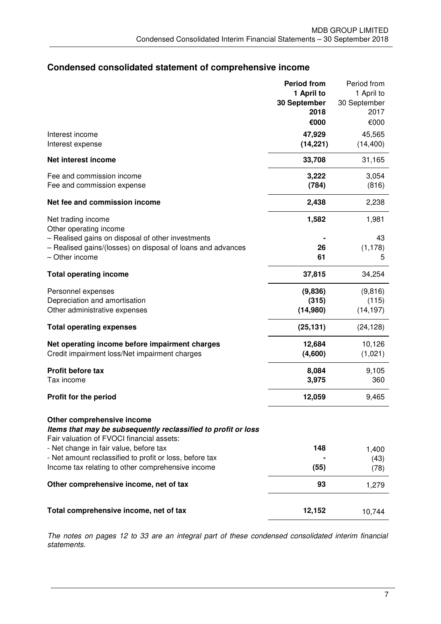# **Condensed consolidated statement of comprehensive income**

|                                                                                                                                          | <b>Period from</b> | Period from  |
|------------------------------------------------------------------------------------------------------------------------------------------|--------------------|--------------|
|                                                                                                                                          | 1 April to         | 1 April to   |
|                                                                                                                                          | 30 September       | 30 September |
|                                                                                                                                          | 2018               | 2017         |
|                                                                                                                                          | €000               | €000         |
| Interest income                                                                                                                          | 47,929             | 45,565       |
| Interest expense                                                                                                                         | (14, 221)          | (14, 400)    |
| Net interest income                                                                                                                      | 33,708             | 31,165       |
| Fee and commission income                                                                                                                | 3,222              | 3,054        |
| Fee and commission expense                                                                                                               | (784)              | (816)        |
| Net fee and commission income                                                                                                            | 2,438              | 2,238        |
|                                                                                                                                          |                    |              |
| Net trading income                                                                                                                       | 1,582              | 1,981        |
| Other operating income                                                                                                                   |                    |              |
| - Realised gains on disposal of other investments                                                                                        |                    | 43           |
| - Realised gains/(losses) on disposal of loans and advances<br>- Other income                                                            | 26                 | (1, 178)     |
|                                                                                                                                          | 61                 | 5            |
| <b>Total operating income</b>                                                                                                            | 37,815             | 34,254       |
| Personnel expenses                                                                                                                       | (9,836)            | (9,816)      |
| Depreciation and amortisation                                                                                                            | (315)              | (115)        |
| Other administrative expenses                                                                                                            | (14,980)           | (14, 197)    |
| <b>Total operating expenses</b>                                                                                                          | (25, 131)          | (24, 128)    |
| Net operating income before impairment charges                                                                                           | 12,684             | 10,126       |
| Credit impairment loss/Net impairment charges                                                                                            | (4,600)            | (1,021)      |
|                                                                                                                                          |                    |              |
| Profit before tax                                                                                                                        | 8,084              | 9,105        |
| Tax income                                                                                                                               | 3,975              | 360          |
| <b>Profit for the period</b>                                                                                                             | 12,059             | 9,465        |
| Other comprehensive income<br>Items that may be subsequently reclassified to profit or loss<br>Fair valuation of FVOCI financial assets: |                    |              |
| - Net change in fair value, before tax                                                                                                   | 148                | 1,400        |
| - Net amount reclassified to profit or loss, before tax                                                                                  |                    | (43)         |
| Income tax relating to other comprehensive income                                                                                        | (55)               | (78)         |
| Other comprehensive income, net of tax                                                                                                   | 93                 | 1,279        |
| Total comprehensive income, net of tax                                                                                                   | 12,152             | 10,744       |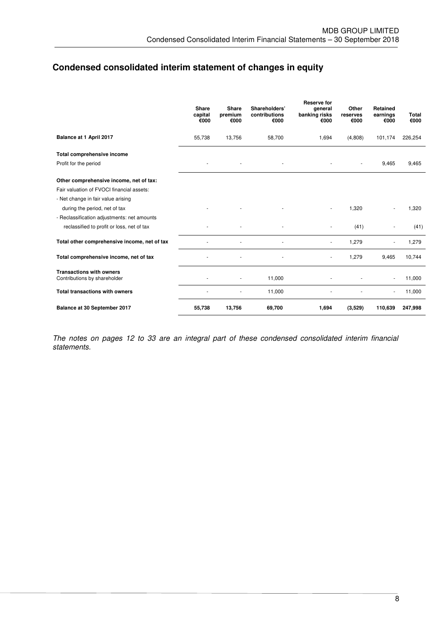# **Condensed consolidated interim statement of changes in equity**

|                                                                 | <b>Share</b><br>capital<br>€000 | <b>Share</b><br>premium<br>€000 | Shareholders'<br>contributions<br>€000 | <b>Reserve for</b><br>general<br>banking risks<br>€000 | Other<br>reserves<br>€000 | Retained<br>earnings<br>€000 | Total<br>€000 |
|-----------------------------------------------------------------|---------------------------------|---------------------------------|----------------------------------------|--------------------------------------------------------|---------------------------|------------------------------|---------------|
| Balance at 1 April 2017                                         | 55,738                          | 13,756                          | 58,700                                 | 1,694                                                  | (4,808)                   | 101,174                      | 226,254       |
| Total comprehensive income                                      |                                 |                                 |                                        |                                                        |                           |                              |               |
| Profit for the period                                           |                                 |                                 |                                        |                                                        |                           | 9,465                        | 9,465         |
| Other comprehensive income, net of tax:                         |                                 |                                 |                                        |                                                        |                           |                              |               |
| Fair valuation of FVOCI financial assets:                       |                                 |                                 |                                        |                                                        |                           |                              |               |
| - Net change in fair value arising                              |                                 |                                 |                                        |                                                        |                           |                              |               |
| during the period, net of tax                                   |                                 |                                 |                                        |                                                        | 1,320                     |                              | 1,320         |
| - Reclassification adjustments: net amounts                     |                                 |                                 |                                        |                                                        |                           |                              |               |
| reclassified to profit or loss, net of tax                      |                                 |                                 |                                        |                                                        | (41)                      |                              | (41)          |
| Total other comprehensive income, net of tax                    |                                 |                                 |                                        |                                                        | 1,279                     |                              | 1,279         |
| Total comprehensive income, net of tax                          |                                 |                                 |                                        | $\blacksquare$                                         | 1,279                     | 9,465                        | 10,744        |
| <b>Transactions with owners</b><br>Contributions by shareholder |                                 | ٠                               | 11,000                                 |                                                        |                           | ä,                           | 11,000        |
| <b>Total transactions with owners</b>                           |                                 |                                 | 11,000                                 |                                                        |                           |                              | 11,000        |
| Balance at 30 September 2017                                    | 55,738                          | 13,756                          | 69,700                                 | 1,694                                                  | (3,529)                   | 110,639                      | 247,998       |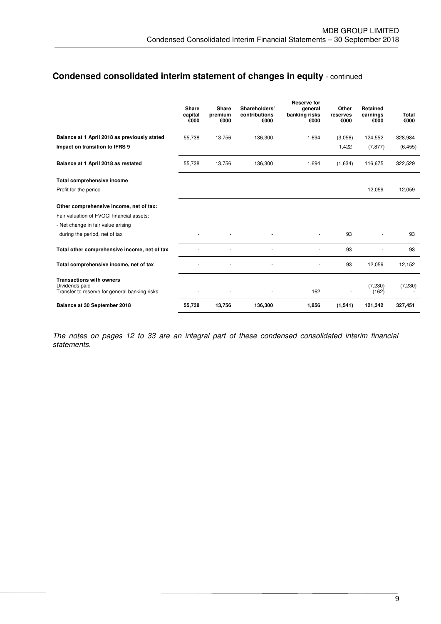# **Condensed consolidated interim statement of changes in equity** - continued

|                                                                                                    | Share<br>capital<br>€000 | Share<br>premium<br>€000 | Shareholders'<br>contributions<br>€000 | <b>Reserve for</b><br>general<br>banking risks<br>€000 | Other<br>reserves<br>€000 | <b>Retained</b><br>earnings<br>€000 | Total<br>€000 |
|----------------------------------------------------------------------------------------------------|--------------------------|--------------------------|----------------------------------------|--------------------------------------------------------|---------------------------|-------------------------------------|---------------|
| Balance at 1 April 2018 as previously stated                                                       | 55,738                   | 13,756                   | 136,300                                | 1,694                                                  | (3,056)                   | 124,552                             | 328,984       |
| Impact on transition to IFRS 9                                                                     |                          |                          |                                        |                                                        | 1,422                     | (7, 877)                            | (6, 455)      |
| Balance at 1 April 2018 as restated                                                                | 55,738                   | 13,756                   | 136,300                                | 1,694                                                  | (1,634)                   | 116,675                             | 322,529       |
| Total comprehensive income                                                                         |                          |                          |                                        |                                                        |                           |                                     |               |
| Profit for the period                                                                              |                          |                          |                                        |                                                        | ÷,                        | 12,059                              | 12,059        |
| Other comprehensive income, net of tax:                                                            |                          |                          |                                        |                                                        |                           |                                     |               |
| Fair valuation of FVOCI financial assets:                                                          |                          |                          |                                        |                                                        |                           |                                     |               |
| - Net change in fair value arising                                                                 |                          |                          |                                        |                                                        |                           |                                     |               |
| during the period, net of tax                                                                      |                          |                          |                                        |                                                        | 93                        |                                     | 93            |
| Total other comprehensive income, net of tax                                                       |                          |                          |                                        |                                                        | 93                        |                                     | 93            |
| Total comprehensive income, net of tax                                                             |                          |                          | ٠                                      |                                                        | 93                        | 12,059                              | 12,152        |
| <b>Transactions with owners</b><br>Dividends paid<br>Transfer to reserve for general banking risks |                          |                          |                                        | 162                                                    |                           | (7, 230)<br>(162)                   | (7, 230)      |
| Balance at 30 September 2018                                                                       | 55,738                   | 13,756                   | 136,300                                | 1,856                                                  | (1,541)                   | 121,342                             | 327,451       |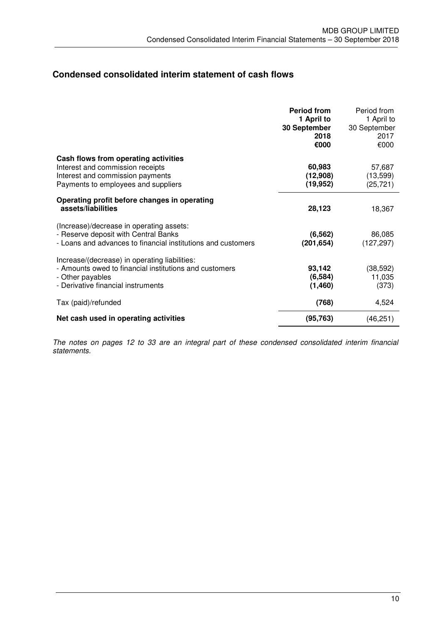# **Condensed consolidated interim statement of cash flows**

|                                                                                                                                                                   | <b>Period from</b><br>1 April to<br>30 September<br>2018<br>€000 | Period from<br>1 April to<br>30 September<br>2017<br>€000 |
|-------------------------------------------------------------------------------------------------------------------------------------------------------------------|------------------------------------------------------------------|-----------------------------------------------------------|
| Cash flows from operating activities<br>Interest and commission receipts<br>Interest and commission payments<br>Payments to employees and suppliers               | 60,983<br>(12,908)<br>(19, 952)                                  | 57,687<br>(13, 599)<br>(25, 721)                          |
| Operating profit before changes in operating<br>assets/liabilities                                                                                                | 28,123                                                           | 18,367                                                    |
| (Increase)/decrease in operating assets:<br>- Reserve deposit with Central Banks<br>- Loans and advances to financial institutions and customers                  | (6, 562)<br>(201, 654)                                           | 86,085<br>(127, 297)                                      |
| Increase/(decrease) in operating liabilities:<br>- Amounts owed to financial institutions and customers<br>- Other payables<br>- Derivative financial instruments | 93,142<br>(6, 584)<br>(1,460)                                    | (38, 592)<br>11,035<br>(373)                              |
| Tax (paid)/refunded                                                                                                                                               | (768)                                                            | 4,524                                                     |
| Net cash used in operating activities                                                                                                                             | (95, 763)                                                        | (46, 251)                                                 |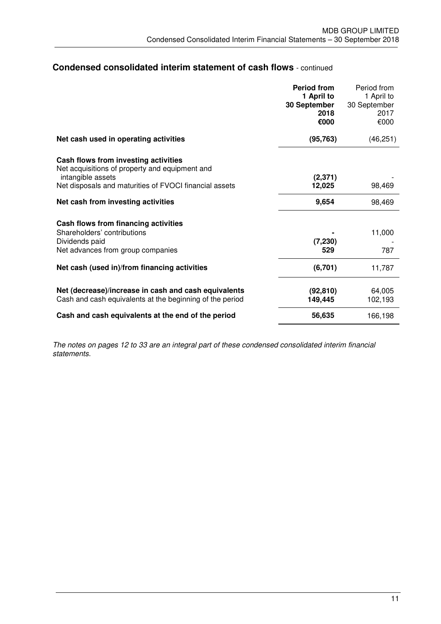## **Condensed consolidated interim statement of cash flows** - continued

|                                                                                                                  | <b>Period from</b><br>1 April to<br>30 September | Period from<br>1 April to<br>30 September |
|------------------------------------------------------------------------------------------------------------------|--------------------------------------------------|-------------------------------------------|
|                                                                                                                  | 2018<br>€000                                     | 2017<br>€000                              |
| Net cash used in operating activities                                                                            | (95, 763)                                        | (46, 251)                                 |
| Cash flows from investing activities<br>Net acquisitions of property and equipment and<br>intangible assets      | (2, 371)                                         |                                           |
| Net disposals and maturities of FVOCI financial assets                                                           | 12,025                                           | 98,469                                    |
| Net cash from investing activities                                                                               | 9,654                                            | 98,469                                    |
| Cash flows from financing activities                                                                             |                                                  |                                           |
| Shareholders' contributions                                                                                      |                                                  | 11,000                                    |
| Dividends paid<br>Net advances from group companies                                                              | (7, 230)<br>529                                  | 787                                       |
| Net cash (used in)/from financing activities                                                                     | (6,701)                                          | 11,787                                    |
| Net (decrease)/increase in cash and cash equivalents<br>Cash and cash equivalents at the beginning of the period | (92, 810)<br>149,445                             | 64,005<br>102,193                         |
| Cash and cash equivalents at the end of the period                                                               | 56,635                                           | 166,198                                   |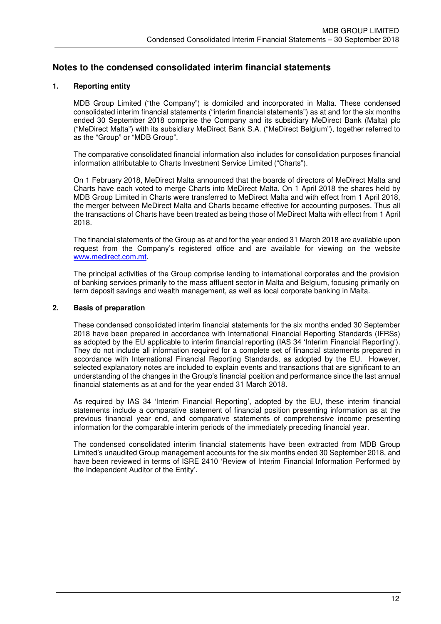## **Notes to the condensed consolidated interim financial statements**

## **1. Reporting entity**

MDB Group Limited ("the Company") is domiciled and incorporated in Malta. These condensed consolidated interim financial statements ("interim financial statements") as at and for the six months ended 30 September 2018 comprise the Company and its subsidiary MeDirect Bank (Malta) plc ("MeDirect Malta") with its subsidiary MeDirect Bank S.A. ("MeDirect Belgium"), together referred to as the "Group" or "MDB Group".

The comparative consolidated financial information also includes for consolidation purposes financial information attributable to Charts Investment Service Limited ("Charts").

On 1 February 2018, MeDirect Malta announced that the boards of directors of MeDirect Malta and Charts have each voted to merge Charts into MeDirect Malta. On 1 April 2018 the shares held by MDB Group Limited in Charts were transferred to MeDirect Malta and with effect from 1 April 2018, the merger between MeDirect Malta and Charts became effective for accounting purposes. Thus all the transactions of Charts have been treated as being those of MeDirect Malta with effect from 1 April 2018.

The financial statements of the Group as at and for the year ended 31 March 2018 are available upon request from the Company's registered office and are available for viewing on the website www.medirect.com.mt.

The principal activities of the Group comprise lending to international corporates and the provision of banking services primarily to the mass affluent sector in Malta and Belgium, focusing primarily on term deposit savings and wealth management, as well as local corporate banking in Malta.

#### **2. Basis of preparation**

These condensed consolidated interim financial statements for the six months ended 30 September 2018 have been prepared in accordance with International Financial Reporting Standards (IFRSs) as adopted by the EU applicable to interim financial reporting (IAS 34 'Interim Financial Reporting'). They do not include all information required for a complete set of financial statements prepared in accordance with International Financial Reporting Standards, as adopted by the EU. However, selected explanatory notes are included to explain events and transactions that are significant to an understanding of the changes in the Group's financial position and performance since the last annual financial statements as at and for the year ended 31 March 2018.

As required by IAS 34 'Interim Financial Reporting', adopted by the EU, these interim financial statements include a comparative statement of financial position presenting information as at the previous financial year end, and comparative statements of comprehensive income presenting information for the comparable interim periods of the immediately preceding financial year.

The condensed consolidated interim financial statements have been extracted from MDB Group Limited's unaudited Group management accounts for the six months ended 30 September 2018, and have been reviewed in terms of ISRE 2410 'Review of Interim Financial Information Performed by the Independent Auditor of the Entity'.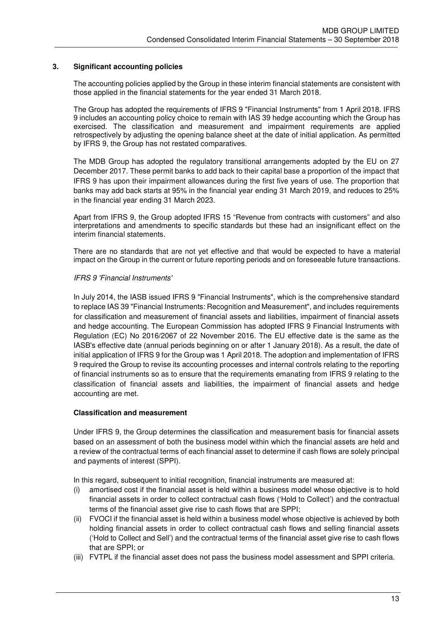### **3. Significant accounting policies**

The accounting policies applied by the Group in these interim financial statements are consistent with those applied in the financial statements for the year ended 31 March 2018.

The Group has adopted the requirements of IFRS 9 "Financial Instruments" from 1 April 2018. IFRS 9 includes an accounting policy choice to remain with IAS 39 hedge accounting which the Group has exercised. The classification and measurement and impairment requirements are applied retrospectively by adjusting the opening balance sheet at the date of initial application. As permitted by IFRS 9, the Group has not restated comparatives.

The MDB Group has adopted the regulatory transitional arrangements adopted by the EU on 27 December 2017. These permit banks to add back to their capital base a proportion of the impact that IFRS 9 has upon their impairment allowances during the first five years of use. The proportion that banks may add back starts at 95% in the financial year ending 31 March 2019, and reduces to 25% in the financial year ending 31 March 2023.

Apart from IFRS 9, the Group adopted IFRS 15 "Revenue from contracts with customers" and also interpretations and amendments to specific standards but these had an insignificant effect on the interim financial statements.

There are no standards that are not yet effective and that would be expected to have a material impact on the Group in the current or future reporting periods and on foreseeable future transactions.

#### *IFRS 9 'Financial Instruments'*

 In July 2014, the IASB issued IFRS 9 "Financial Instruments", which is the comprehensive standard to replace IAS 39 "Financial Instruments: Recognition and Measurement", and includes requirements for classification and measurement of financial assets and liabilities, impairment of financial assets and hedge accounting. The European Commission has adopted IFRS 9 Financial Instruments with Regulation (EC) No 2016/2067 of 22 November 2016. The EU effective date is the same as the IASB's effective date (annual periods beginning on or after 1 January 2018). As a result, the date of initial application of IFRS 9 for the Group was 1 April 2018. The adoption and implementation of IFRS 9 required the Group to revise its accounting processes and internal controls relating to the reporting of financial instruments so as to ensure that the requirements emanating from IFRS 9 relating to the classification of financial assets and liabilities, the impairment of financial assets and hedge accounting are met.

#### **Classification and measurement**

 Under IFRS 9, the Group determines the classification and measurement basis for financial assets based on an assessment of both the business model within which the financial assets are held and a review of the contractual terms of each financial asset to determine if cash flows are solely principal and payments of interest (SPPI).

In this regard, subsequent to initial recognition, financial instruments are measured at:

- (i) amortised cost if the financial asset is held within a business model whose objective is to hold financial assets in order to collect contractual cash flows ('Hold to Collect') and the contractual terms of the financial asset give rise to cash flows that are SPPI;
- (ii) FVOCI if the financial asset is held within a business model whose objective is achieved by both holding financial assets in order to collect contractual cash flows and selling financial assets ('Hold to Collect and Sell') and the contractual terms of the financial asset give rise to cash flows that are SPPI; or
- (iii) FVTPL if the financial asset does not pass the business model assessment and SPPI criteria.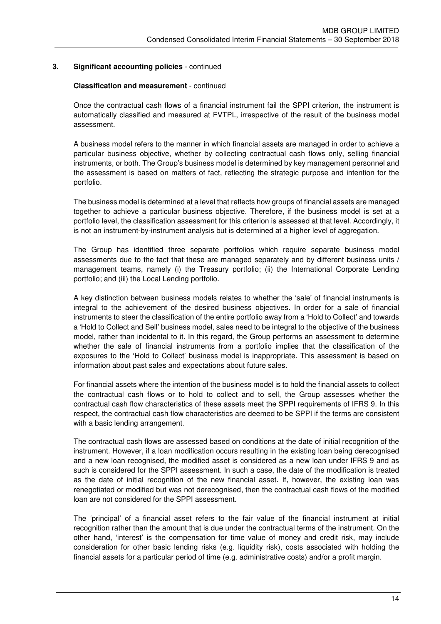#### **Classification and measurement** - continued

Once the contractual cash flows of a financial instrument fail the SPPI criterion, the instrument is automatically classified and measured at FVTPL, irrespective of the result of the business model assessment.

A business model refers to the manner in which financial assets are managed in order to achieve a particular business objective, whether by collecting contractual cash flows only, selling financial instruments, or both. The Group's business model is determined by key management personnel and the assessment is based on matters of fact, reflecting the strategic purpose and intention for the portfolio.

The business model is determined at a level that reflects how groups of financial assets are managed together to achieve a particular business objective. Therefore, if the business model is set at a portfolio level, the classification assessment for this criterion is assessed at that level. Accordingly, it is not an instrument-by-instrument analysis but is determined at a higher level of aggregation.

The Group has identified three separate portfolios which require separate business model assessments due to the fact that these are managed separately and by different business units / management teams, namely (i) the Treasury portfolio; (ii) the International Corporate Lending portfolio; and (iii) the Local Lending portfolio.

A key distinction between business models relates to whether the 'sale' of financial instruments is integral to the achievement of the desired business objectives. In order for a sale of financial instruments to steer the classification of the entire portfolio away from a 'Hold to Collect' and towards a 'Hold to Collect and Sell' business model, sales need to be integral to the objective of the business model, rather than incidental to it. In this regard, the Group performs an assessment to determine whether the sale of financial instruments from a portfolio implies that the classification of the exposures to the 'Hold to Collect' business model is inappropriate. This assessment is based on information about past sales and expectations about future sales.

For financial assets where the intention of the business model is to hold the financial assets to collect the contractual cash flows or to hold to collect and to sell, the Group assesses whether the contractual cash flow characteristics of these assets meet the SPPI requirements of IFRS 9. In this respect, the contractual cash flow characteristics are deemed to be SPPI if the terms are consistent with a basic lending arrangement.

The contractual cash flows are assessed based on conditions at the date of initial recognition of the instrument. However, if a loan modification occurs resulting in the existing loan being derecognised and a new loan recognised, the modified asset is considered as a new loan under IFRS 9 and as such is considered for the SPPI assessment. In such a case, the date of the modification is treated as the date of initial recognition of the new financial asset. If, however, the existing loan was renegotiated or modified but was not derecognised, then the contractual cash flows of the modified loan are not considered for the SPPI assessment.

The 'principal' of a financial asset refers to the fair value of the financial instrument at initial recognition rather than the amount that is due under the contractual terms of the instrument. On the other hand, 'interest' is the compensation for time value of money and credit risk, may include consideration for other basic lending risks (e.g. liquidity risk), costs associated with holding the financial assets for a particular period of time (e.g. administrative costs) and/or a profit margin.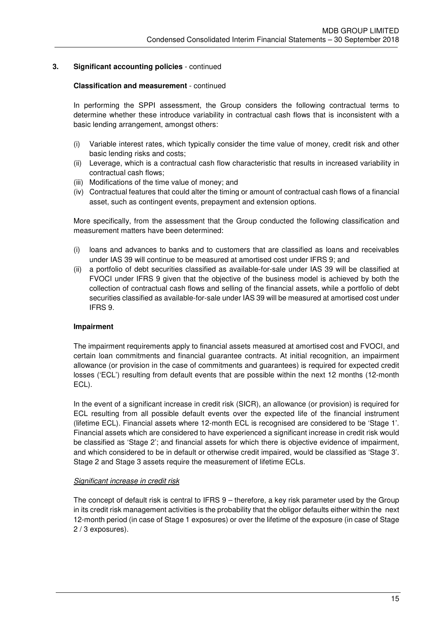#### **Classification and measurement** - continued

In performing the SPPI assessment, the Group considers the following contractual terms to determine whether these introduce variability in contractual cash flows that is inconsistent with a basic lending arrangement, amongst others:

- (i) Variable interest rates, which typically consider the time value of money, credit risk and other basic lending risks and costs;
- (ii) Leverage, which is a contractual cash flow characteristic that results in increased variability in contractual cash flows;
- (iii) Modifications of the time value of money; and
- (iv) Contractual features that could alter the timing or amount of contractual cash flows of a financial asset, such as contingent events, prepayment and extension options.

More specifically, from the assessment that the Group conducted the following classification and measurement matters have been determined:

- (i) loans and advances to banks and to customers that are classified as loans and receivables under IAS 39 will continue to be measured at amortised cost under IFRS 9; and
- (ii) a portfolio of debt securities classified as available-for-sale under IAS 39 will be classified at FVOCI under IFRS 9 given that the objective of the business model is achieved by both the collection of contractual cash flows and selling of the financial assets, while a portfolio of debt securities classified as available-for-sale under IAS 39 will be measured at amortised cost under IFRS 9.

#### **Impairment**

 The impairment requirements apply to financial assets measured at amortised cost and FVOCI, and certain loan commitments and financial guarantee contracts. At initial recognition, an impairment allowance (or provision in the case of commitments and guarantees) is required for expected credit losses ('ECL') resulting from default events that are possible within the next 12 months (12-month ECL).

In the event of a significant increase in credit risk (SICR), an allowance (or provision) is required for ECL resulting from all possible default events over the expected life of the financial instrument (lifetime ECL). Financial assets where 12-month ECL is recognised are considered to be 'Stage 1'. Financial assets which are considered to have experienced a significant increase in credit risk would be classified as 'Stage 2'; and financial assets for which there is objective evidence of impairment, and which considered to be in default or otherwise credit impaired, would be classified as 'Stage 3'. Stage 2 and Stage 3 assets require the measurement of lifetime ECLs.

#### *Significant increase in credit risk*

The concept of default risk is central to IFRS 9 – therefore, a key risk parameter used by the Group in its credit risk management activities is the probability that the obligor defaults either within the next 12-month period (in case of Stage 1 exposures) or over the lifetime of the exposure (in case of Stage 2 / 3 exposures).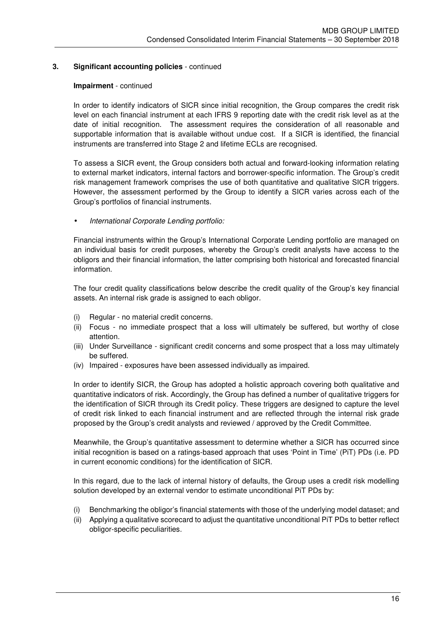#### **Impairment** - continued

In order to identify indicators of SICR since initial recognition, the Group compares the credit risk level on each financial instrument at each IFRS 9 reporting date with the credit risk level as at the date of initial recognition. The assessment requires the consideration of all reasonable and supportable information that is available without undue cost. If a SICR is identified, the financial instruments are transferred into Stage 2 and lifetime ECLs are recognised.

To assess a SICR event, the Group considers both actual and forward-looking information relating to external market indicators, internal factors and borrower-specific information. The Group's credit risk management framework comprises the use of both quantitative and qualitative SICR triggers. However, the assessment performed by the Group to identify a SICR varies across each of the Group's portfolios of financial instruments.

• *International Corporate Lending portfolio:* 

Financial instruments within the Group's International Corporate Lending portfolio are managed on an individual basis for credit purposes, whereby the Group's credit analysts have access to the obligors and their financial information, the latter comprising both historical and forecasted financial information.

The four credit quality classifications below describe the credit quality of the Group's key financial assets. An internal risk grade is assigned to each obligor.

- (i) Regular no material credit concerns.
- (ii) Focus no immediate prospect that a loss will ultimately be suffered, but worthy of close attention.
- (iii) Under Surveillance significant credit concerns and some prospect that a loss may ultimately be suffered.
- (iv) Impaired exposures have been assessed individually as impaired.

In order to identify SICR, the Group has adopted a holistic approach covering both qualitative and quantitative indicators of risk. Accordingly, the Group has defined a number of qualitative triggers for the identification of SICR through its Credit policy. These triggers are designed to capture the level of credit risk linked to each financial instrument and are reflected through the internal risk grade proposed by the Group's credit analysts and reviewed / approved by the Credit Committee.

Meanwhile, the Group's quantitative assessment to determine whether a SICR has occurred since initial recognition is based on a ratings-based approach that uses 'Point in Time' (PiT) PDs (i.e. PD in current economic conditions) for the identification of SICR.

In this regard, due to the lack of internal history of defaults, the Group uses a credit risk modelling solution developed by an external vendor to estimate unconditional PiT PDs by:

- (i) Benchmarking the obligor's financial statements with those of the underlying model dataset; and
- (ii) Applying a qualitative scorecard to adjust the quantitative unconditional PiT PDs to better reflect obligor-specific peculiarities.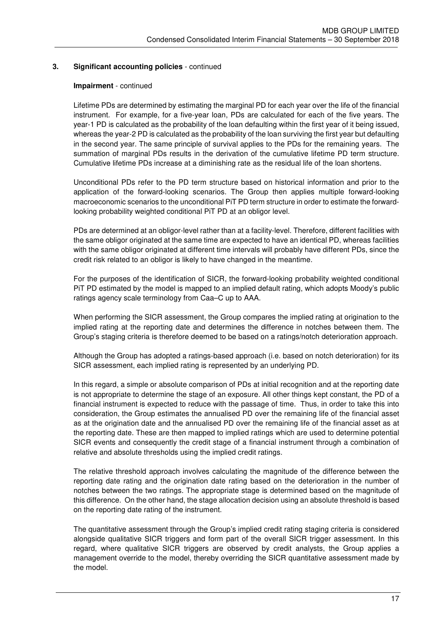#### **Impairment** - continued

Lifetime PDs are determined by estimating the marginal PD for each year over the life of the financial instrument. For example, for a five-year loan, PDs are calculated for each of the five years. The year-1 PD is calculated as the probability of the loan defaulting within the first year of it being issued, whereas the year-2 PD is calculated as the probability of the loan surviving the first year but defaulting in the second year. The same principle of survival applies to the PDs for the remaining years. The summation of marginal PDs results in the derivation of the cumulative lifetime PD term structure. Cumulative lifetime PDs increase at a diminishing rate as the residual life of the loan shortens.

Unconditional PDs refer to the PD term structure based on historical information and prior to the application of the forward-looking scenarios. The Group then applies multiple forward-looking macroeconomic scenarios to the unconditional PiT PD term structure in order to estimate the forwardlooking probability weighted conditional PiT PD at an obligor level.

PDs are determined at an obligor-level rather than at a facility-level. Therefore, different facilities with the same obligor originated at the same time are expected to have an identical PD, whereas facilities with the same obligor originated at different time intervals will probably have different PDs, since the credit risk related to an obligor is likely to have changed in the meantime.

For the purposes of the identification of SICR, the forward-looking probability weighted conditional PiT PD estimated by the model is mapped to an implied default rating, which adopts Moody's public ratings agency scale terminology from Caa–C up to AAA.

When performing the SICR assessment, the Group compares the implied rating at origination to the implied rating at the reporting date and determines the difference in notches between them. The Group's staging criteria is therefore deemed to be based on a ratings/notch deterioration approach.

Although the Group has adopted a ratings-based approach (i.e. based on notch deterioration) for its SICR assessment, each implied rating is represented by an underlying PD.

In this regard, a simple or absolute comparison of PDs at initial recognition and at the reporting date is not appropriate to determine the stage of an exposure. All other things kept constant, the PD of a financial instrument is expected to reduce with the passage of time. Thus, in order to take this into consideration, the Group estimates the annualised PD over the remaining life of the financial asset as at the origination date and the annualised PD over the remaining life of the financial asset as at the reporting date. These are then mapped to implied ratings which are used to determine potential SICR events and consequently the credit stage of a financial instrument through a combination of relative and absolute thresholds using the implied credit ratings.

The relative threshold approach involves calculating the magnitude of the difference between the reporting date rating and the origination date rating based on the deterioration in the number of notches between the two ratings. The appropriate stage is determined based on the magnitude of this difference. On the other hand, the stage allocation decision using an absolute threshold is based on the reporting date rating of the instrument.

The quantitative assessment through the Group's implied credit rating staging criteria is considered alongside qualitative SICR triggers and form part of the overall SICR trigger assessment. In this regard, where qualitative SICR triggers are observed by credit analysts, the Group applies a management override to the model, thereby overriding the SICR quantitative assessment made by the model.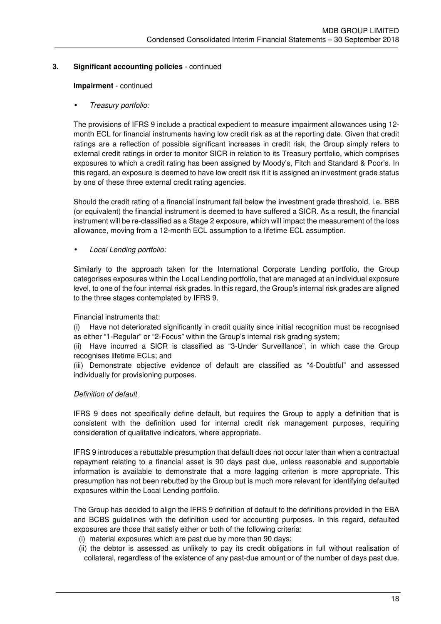#### **Impairment** - continued

## • *Treasury portfolio:*

The provisions of IFRS 9 include a practical expedient to measure impairment allowances using 12 month ECL for financial instruments having low credit risk as at the reporting date. Given that credit ratings are a reflection of possible significant increases in credit risk, the Group simply refers to external credit ratings in order to monitor SICR in relation to its Treasury portfolio, which comprises exposures to which a credit rating has been assigned by Moody's, Fitch and Standard & Poor's. In this regard, an exposure is deemed to have low credit risk if it is assigned an investment grade status by one of these three external credit rating agencies.

Should the credit rating of a financial instrument fall below the investment grade threshold, i.e. BBB (or equivalent) the financial instrument is deemed to have suffered a SICR. As a result, the financial instrument will be re-classified as a Stage 2 exposure, which will impact the measurement of the loss allowance, moving from a 12-month ECL assumption to a lifetime ECL assumption.

• *Local Lending portfolio:* 

Similarly to the approach taken for the International Corporate Lending portfolio, the Group categorises exposures within the Local Lending portfolio, that are managed at an individual exposure level, to one of the four internal risk grades. In this regard, the Group's internal risk grades are aligned to the three stages contemplated by IFRS 9.

#### Financial instruments that:

(i) Have not deteriorated significantly in credit quality since initial recognition must be recognised as either "1-Regular" or "2-Focus" within the Group's internal risk grading system;

(ii) Have incurred a SICR is classified as "3-Under Surveillance", in which case the Group recognises lifetime ECLs; and

(iii) Demonstrate objective evidence of default are classified as "4-Doubtful" and assessed individually for provisioning purposes.

#### *Definition of default*

IFRS 9 does not specifically define default, but requires the Group to apply a definition that is consistent with the definition used for internal credit risk management purposes, requiring consideration of qualitative indicators, where appropriate.

IFRS 9 introduces a rebuttable presumption that default does not occur later than when a contractual repayment relating to a financial asset is 90 days past due, unless reasonable and supportable information is available to demonstrate that a more lagging criterion is more appropriate. This presumption has not been rebutted by the Group but is much more relevant for identifying defaulted exposures within the Local Lending portfolio.

The Group has decided to align the IFRS 9 definition of default to the definitions provided in the EBA and BCBS guidelines with the definition used for accounting purposes. In this regard, defaulted exposures are those that satisfy either or both of the following criteria:

- (i) material exposures which are past due by more than 90 days;
- (ii) the debtor is assessed as unlikely to pay its credit obligations in full without realisation of collateral, regardless of the existence of any past-due amount or of the number of days past due.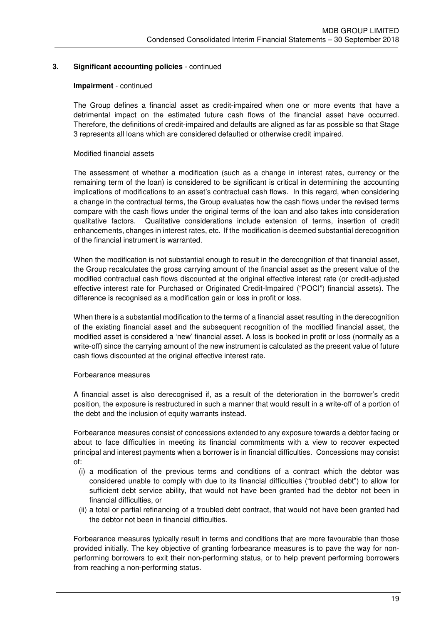#### **Impairment** - continued

The Group defines a financial asset as credit-impaired when one or more events that have a detrimental impact on the estimated future cash flows of the financial asset have occurred. Therefore, the definitions of credit-impaired and defaults are aligned as far as possible so that Stage 3 represents all loans which are considered defaulted or otherwise credit impaired.

#### Modified financial assets

The assessment of whether a modification (such as a change in interest rates, currency or the remaining term of the loan) is considered to be significant is critical in determining the accounting implications of modifications to an asset's contractual cash flows. In this regard, when considering a change in the contractual terms, the Group evaluates how the cash flows under the revised terms compare with the cash flows under the original terms of the loan and also takes into consideration qualitative factors. Qualitative considerations include extension of terms, insertion of credit enhancements, changes in interest rates, etc. If the modification is deemed substantial derecognition of the financial instrument is warranted.

When the modification is not substantial enough to result in the derecognition of that financial asset, the Group recalculates the gross carrying amount of the financial asset as the present value of the modified contractual cash flows discounted at the original effective interest rate (or credit-adjusted effective interest rate for Purchased or Originated Credit-Impaired ("POCI") financial assets). The difference is recognised as a modification gain or loss in profit or loss.

When there is a substantial modification to the terms of a financial asset resulting in the derecognition of the existing financial asset and the subsequent recognition of the modified financial asset, the modified asset is considered a 'new' financial asset. A loss is booked in profit or loss (normally as a write-off) since the carrying amount of the new instrument is calculated as the present value of future cash flows discounted at the original effective interest rate.

#### Forbearance measures

A financial asset is also derecognised if, as a result of the deterioration in the borrower's credit position, the exposure is restructured in such a manner that would result in a write-off of a portion of the debt and the inclusion of equity warrants instead.

Forbearance measures consist of concessions extended to any exposure towards a debtor facing or about to face difficulties in meeting its financial commitments with a view to recover expected principal and interest payments when a borrower is in financial difficulties. Concessions may consist of:

- (i) a modification of the previous terms and conditions of a contract which the debtor was considered unable to comply with due to its financial difficulties ("troubled debt") to allow for sufficient debt service ability, that would not have been granted had the debtor not been in financial difficulties, or
- (ii) a total or partial refinancing of a troubled debt contract, that would not have been granted had the debtor not been in financial difficulties.

Forbearance measures typically result in terms and conditions that are more favourable than those provided initially. The key objective of granting forbearance measures is to pave the way for nonperforming borrowers to exit their non-performing status, or to help prevent performing borrowers from reaching a non-performing status.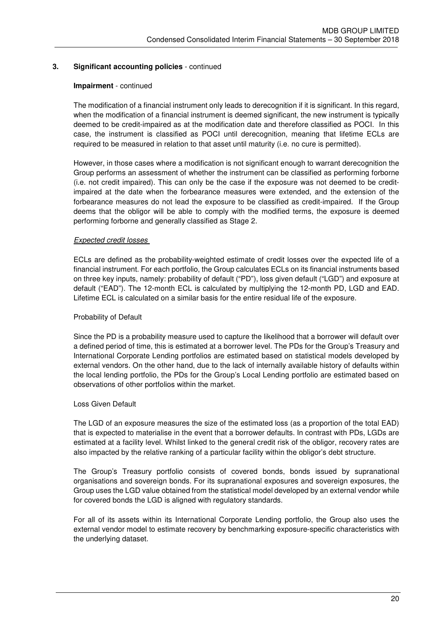#### **Impairment** - continued

The modification of a financial instrument only leads to derecognition if it is significant. In this regard, when the modification of a financial instrument is deemed significant, the new instrument is typically deemed to be credit-impaired as at the modification date and therefore classified as POCI. In this case, the instrument is classified as POCI until derecognition, meaning that lifetime ECLs are required to be measured in relation to that asset until maturity (i.e. no cure is permitted).

However, in those cases where a modification is not significant enough to warrant derecognition the Group performs an assessment of whether the instrument can be classified as performing forborne (i.e. not credit impaired). This can only be the case if the exposure was not deemed to be creditimpaired at the date when the forbearance measures were extended, and the extension of the forbearance measures do not lead the exposure to be classified as credit-impaired. If the Group deems that the obligor will be able to comply with the modified terms, the exposure is deemed performing forborne and generally classified as Stage 2.

## *Expected credit losses*

ECLs are defined as the probability-weighted estimate of credit losses over the expected life of a financial instrument. For each portfolio, the Group calculates ECLs on its financial instruments based on three key inputs, namely: probability of default ("PD"), loss given default ("LGD") and exposure at default ("EAD"). The 12-month ECL is calculated by multiplying the 12-month PD, LGD and EAD. Lifetime ECL is calculated on a similar basis for the entire residual life of the exposure.

#### Probability of Default

Since the PD is a probability measure used to capture the likelihood that a borrower will default over a defined period of time, this is estimated at a borrower level. The PDs for the Group's Treasury and International Corporate Lending portfolios are estimated based on statistical models developed by external vendors. On the other hand, due to the lack of internally available history of defaults within the local lending portfolio, the PDs for the Group's Local Lending portfolio are estimated based on observations of other portfolios within the market.

#### Loss Given Default

The LGD of an exposure measures the size of the estimated loss (as a proportion of the total EAD) that is expected to materialise in the event that a borrower defaults. In contrast with PDs, LGDs are estimated at a facility level. Whilst linked to the general credit risk of the obligor, recovery rates are also impacted by the relative ranking of a particular facility within the obligor's debt structure.

The Group's Treasury portfolio consists of covered bonds, bonds issued by supranational organisations and sovereign bonds. For its supranational exposures and sovereign exposures, the Group uses the LGD value obtained from the statistical model developed by an external vendor while for covered bonds the LGD is aligned with regulatory standards.

For all of its assets within its International Corporate Lending portfolio, the Group also uses the external vendor model to estimate recovery by benchmarking exposure-specific characteristics with the underlying dataset.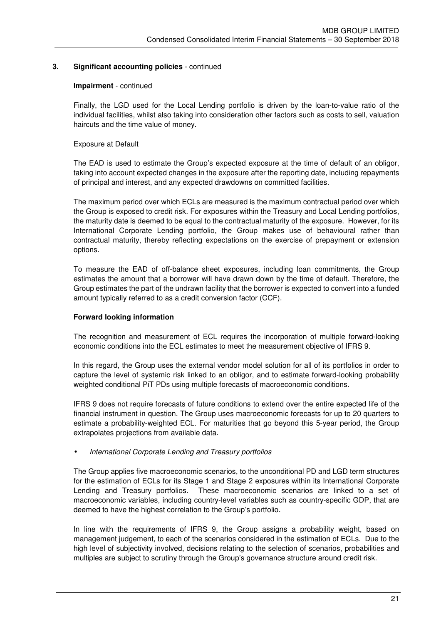#### **Impairment** - continued

Finally, the LGD used for the Local Lending portfolio is driven by the loan-to-value ratio of the individual facilities, whilst also taking into consideration other factors such as costs to sell, valuation haircuts and the time value of money.

## Exposure at Default

The EAD is used to estimate the Group's expected exposure at the time of default of an obligor, taking into account expected changes in the exposure after the reporting date, including repayments of principal and interest, and any expected drawdowns on committed facilities.

The maximum period over which ECLs are measured is the maximum contractual period over which the Group is exposed to credit risk. For exposures within the Treasury and Local Lending portfolios, the maturity date is deemed to be equal to the contractual maturity of the exposure. However, for its International Corporate Lending portfolio, the Group makes use of behavioural rather than contractual maturity, thereby reflecting expectations on the exercise of prepayment or extension options.

To measure the EAD of off-balance sheet exposures, including loan commitments, the Group estimates the amount that a borrower will have drawn down by the time of default. Therefore, the Group estimates the part of the undrawn facility that the borrower is expected to convert into a funded amount typically referred to as a credit conversion factor (CCF).

## **Forward looking information**

The recognition and measurement of ECL requires the incorporation of multiple forward-looking economic conditions into the ECL estimates to meet the measurement objective of IFRS 9.

In this regard, the Group uses the external vendor model solution for all of its portfolios in order to capture the level of systemic risk linked to an obligor, and to estimate forward-looking probability weighted conditional PiT PDs using multiple forecasts of macroeconomic conditions.

IFRS 9 does not require forecasts of future conditions to extend over the entire expected life of the financial instrument in question. The Group uses macroeconomic forecasts for up to 20 quarters to estimate a probability-weighted ECL. For maturities that go beyond this 5-year period, the Group extrapolates projections from available data.

#### • *International Corporate Lending and Treasury portfolios*

The Group applies five macroeconomic scenarios, to the unconditional PD and LGD term structures for the estimation of ECLs for its Stage 1 and Stage 2 exposures within its International Corporate Lending and Treasury portfolios. These macroeconomic scenarios are linked to a set of macroeconomic variables, including country-level variables such as country-specific GDP, that are deemed to have the highest correlation to the Group's portfolio.

In line with the requirements of IFRS 9, the Group assigns a probability weight, based on management judgement, to each of the scenarios considered in the estimation of ECLs. Due to the high level of subjectivity involved, decisions relating to the selection of scenarios, probabilities and multiples are subject to scrutiny through the Group's governance structure around credit risk.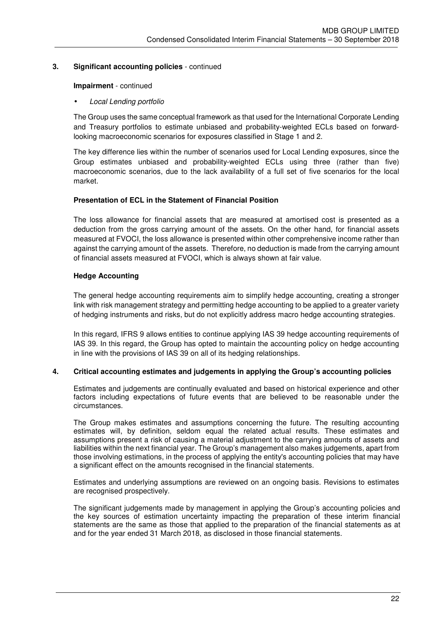#### **Impairment** - continued

#### • *Local Lending portfolio*

The Group uses the same conceptual framework as that used for the International Corporate Lending and Treasury portfolios to estimate unbiased and probability-weighted ECLs based on forwardlooking macroeconomic scenarios for exposures classified in Stage 1 and 2.

The key difference lies within the number of scenarios used for Local Lending exposures, since the Group estimates unbiased and probability-weighted ECLs using three (rather than five) macroeconomic scenarios, due to the lack availability of a full set of five scenarios for the local market.

## **Presentation of ECL in the Statement of Financial Position**

The loss allowance for financial assets that are measured at amortised cost is presented as a deduction from the gross carrying amount of the assets. On the other hand, for financial assets measured at FVOCI, the loss allowance is presented within other comprehensive income rather than against the carrying amount of the assets. Therefore, no deduction is made from the carrying amount of financial assets measured at FVOCI, which is always shown at fair value.

## **Hedge Accounting**

The general hedge accounting requirements aim to simplify hedge accounting, creating a stronger link with risk management strategy and permitting hedge accounting to be applied to a greater variety of hedging instruments and risks, but do not explicitly address macro hedge accounting strategies.

In this regard, IFRS 9 allows entities to continue applying IAS 39 hedge accounting requirements of IAS 39. In this regard, the Group has opted to maintain the accounting policy on hedge accounting in line with the provisions of IAS 39 on all of its hedging relationships.

#### **4. Critical accounting estimates and judgements in applying the Group's accounting policies**

Estimates and judgements are continually evaluated and based on historical experience and other factors including expectations of future events that are believed to be reasonable under the circumstances.

The Group makes estimates and assumptions concerning the future. The resulting accounting estimates will, by definition, seldom equal the related actual results. These estimates and assumptions present a risk of causing a material adjustment to the carrying amounts of assets and liabilities within the next financial year. The Group's management also makes judgements, apart from those involving estimations, in the process of applying the entity's accounting policies that may have a significant effect on the amounts recognised in the financial statements.

Estimates and underlying assumptions are reviewed on an ongoing basis. Revisions to estimates are recognised prospectively.

The significant judgements made by management in applying the Group's accounting policies and the key sources of estimation uncertainty impacting the preparation of these interim financial statements are the same as those that applied to the preparation of the financial statements as at and for the year ended 31 March 2018, as disclosed in those financial statements.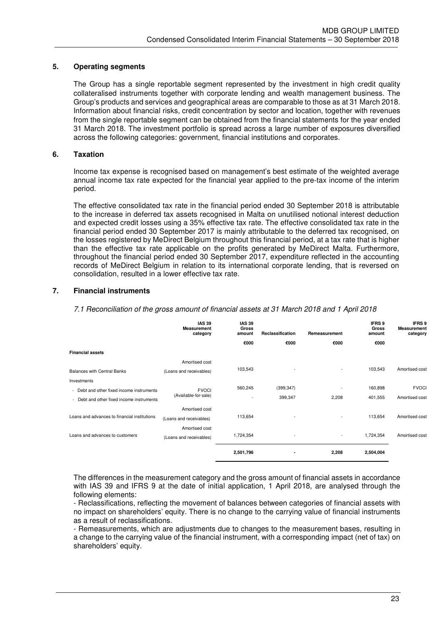### **5. Operating segments**

The Group has a single reportable segment represented by the investment in high credit quality collateralised instruments together with corporate lending and wealth management business. The Group's products and services and geographical areas are comparable to those as at 31 March 2018. Information about financial risks, credit concentration by sector and location, together with revenues from the single reportable segment can be obtained from the financial statements for the year ended 31 March 2018. The investment portfolio is spread across a large number of exposures diversified across the following categories: government, financial institutions and corporates.

### **6. Taxation**

Income tax expense is recognised based on management's best estimate of the weighted average annual income tax rate expected for the financial year applied to the pre-tax income of the interim period.

The effective consolidated tax rate in the financial period ended 30 September 2018 is attributable to the increase in deferred tax assets recognised in Malta on unutilised notional interest deduction and expected credit losses using a 35% effective tax rate. The effective consolidated tax rate in the financial period ended 30 September 2017 is mainly attributable to the deferred tax recognised, on the losses registered by MeDirect Belgium throughout this financial period, at a tax rate that is higher than the effective tax rate applicable on the profits generated by MeDirect Malta. Furthermore, throughout the financial period ended 30 September 2017, expenditure reflected in the accounting records of MeDirect Belgium in relation to its international corporate lending, that is reversed on consolidation, resulted in a lower effective tax rate.

## **7. Financial instruments**

*7.1 Reconciliation of the gross amount of financial assets at 31 March 2018 and 1 April 2018* 

|                                              | <b>IAS 39</b><br><b>Measurement</b><br>category | <b>IAS 39</b><br>Gross<br>amount | Reclassification         | Remeasurement            | <b>IFRS 9</b><br>Gross<br>amount | <b>IFRS 9</b><br><b>Measurement</b><br>category |                |
|----------------------------------------------|-------------------------------------------------|----------------------------------|--------------------------|--------------------------|----------------------------------|-------------------------------------------------|----------------|
|                                              |                                                 | €000                             | €000                     | €000                     | €000                             |                                                 |                |
| <b>Financial assets</b>                      |                                                 |                                  |                          |                          |                                  |                                                 |                |
|                                              | Amortised cost                                  |                                  |                          |                          |                                  |                                                 |                |
| <b>Balances with Central Banks</b>           | (Loans and receivables)                         | 103,543                          |                          | $\sim$                   | 103,543                          | Amortised cost                                  |                |
| Investments                                  |                                                 |                                  |                          |                          |                                  |                                                 |                |
| - Debt and other fixed income instruments    | <b>FVOCI</b>                                    | 560,245                          | (399, 347)               | $\overline{\phantom{a}}$ | 160,898                          | <b>FVOCI</b>                                    |                |
| - Debt and other fixed income instruments    | (Available-for-sale)                            |                                  | $\overline{\phantom{a}}$ | 399,347                  | 2,208                            | 401,555                                         | Amortised cost |
| Loans and advances to financial institutions | Amortised cost<br>(Loans and receivables)       | 113,654                          |                          | $\overline{\phantom{a}}$ | 113,654                          | Amortised cost                                  |                |
| Loans and advances to customers              | Amortised cost<br>(Loans and receivables)       | 1,724,354                        |                          | $\overline{\phantom{a}}$ | 1,724,354                        | Amortised cost                                  |                |
|                                              |                                                 | 2,501,796                        |                          | 2,208                    | 2,504,004                        |                                                 |                |

The differences in the measurement category and the gross amount of financial assets in accordance with IAS 39 and IFRS 9 at the date of initial application, 1 April 2018, are analysed through the following elements:

- Reclassifications, reflecting the movement of balances between categories of financial assets with no impact on shareholders' equity. There is no change to the carrying value of financial instruments as a result of reclassifications.

- Remeasurements, which are adjustments due to changes to the measurement bases, resulting in a change to the carrying value of the financial instrument, with a corresponding impact (net of tax) on shareholders' equity.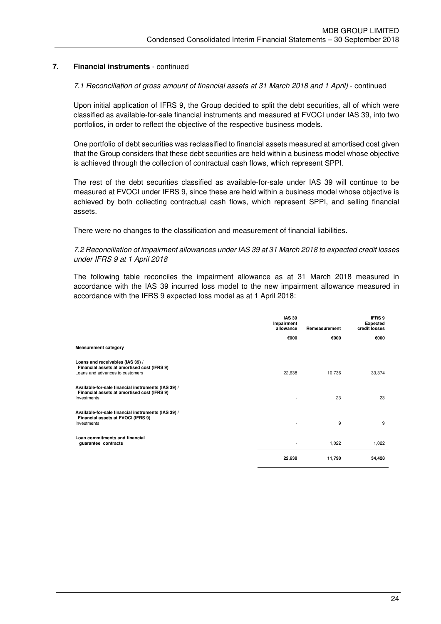#### 7.1 Reconciliation of gross amount of financial assets at 31 March 2018 and 1 April) - continued

Upon initial application of IFRS 9, the Group decided to split the debt securities, all of which were classified as available-for-sale financial instruments and measured at FVOCI under IAS 39, into two portfolios, in order to reflect the objective of the respective business models.

One portfolio of debt securities was reclassified to financial assets measured at amortised cost given that the Group considers that these debt securities are held within a business model whose objective is achieved through the collection of contractual cash flows, which represent SPPI.

The rest of the debt securities classified as available-for-sale under IAS 39 will continue to be measured at FVOCI under IFRS 9, since these are held within a business model whose objective is achieved by both collecting contractual cash flows, which represent SPPI, and selling financial assets.

There were no changes to the classification and measurement of financial liabilities.

#### *7.2 Reconciliation of impairment allowances under IAS 39 at 31 March 2018 to expected credit losses under IFRS 9 at 1 April 2018*

 The following table reconciles the impairment allowance as at 31 March 2018 measured in accordance with the IAS 39 incurred loss model to the new impairment allowance measured in accordance with the IFRS 9 expected loss model as at 1 April 2018:

|                                                                                                                    | <b>IAS 39</b><br>Impairment<br>allowance | Remeasurement | IFRS 9<br><b>Expected</b><br>credit losses |
|--------------------------------------------------------------------------------------------------------------------|------------------------------------------|---------------|--------------------------------------------|
|                                                                                                                    | €000                                     | €000          | €000                                       |
| <b>Measurement category</b>                                                                                        |                                          |               |                                            |
| Loans and receivables (IAS 39) /<br>Financial assets at amortised cost (IFRS 9)<br>Loans and advances to customers | 22,638                                   | 10,736        | 33,374                                     |
| Available-for-sale financial instruments (IAS 39) /<br>Financial assets at amortised cost (IFRS 9)<br>Investments  |                                          | 23            | 23                                         |
| Available-for-sale financial instruments (IAS 39) /<br>Financial assets at FVOCI (IFRS 9)<br>Investments           |                                          | 9             | 9                                          |
| Loan commitments and financial<br>guarantee contracts                                                              |                                          | 1,022         | 1,022                                      |
|                                                                                                                    | 22,638                                   | 11,790        | 34,428                                     |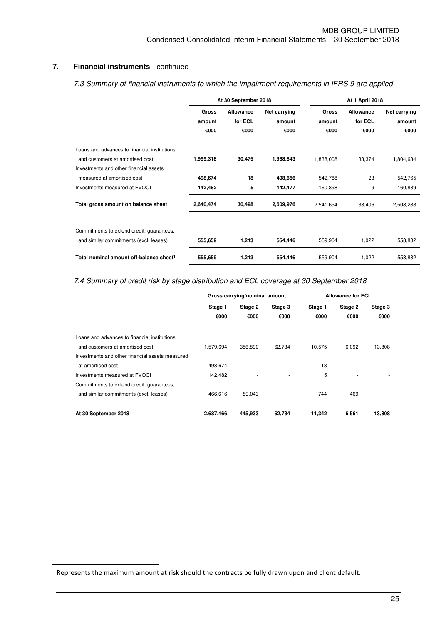*7.3 Summary of financial instruments to which the impairment requirements in IFRS 9 are applied* 

|                                                                                                                                                         |                      | At 30 September 2018 |                      | At 1 April 2018      |                  |                      |
|---------------------------------------------------------------------------------------------------------------------------------------------------------|----------------------|----------------------|----------------------|----------------------|------------------|----------------------|
|                                                                                                                                                         | Gross                | <b>Allowance</b>     | Net carrying         | <b>Gross</b>         | <b>Allowance</b> | Net carrying         |
|                                                                                                                                                         | amount               | for ECL              | amount               | amount               | for ECL          | amount               |
|                                                                                                                                                         | €000                 | €000                 | €000                 | €000                 | €000             | €000                 |
| Loans and advances to financial institutions<br>and customers at amortised cost<br>Investments and other financial assets<br>measured at amortised cost | 1,999,318<br>498,674 | 30,475<br>18         | 1,968,843<br>498,656 | 1,838,008<br>542,788 | 33,374<br>23     | 1,804,634<br>542,765 |
|                                                                                                                                                         |                      |                      |                      |                      |                  |                      |
| Investments measured at FVOCI                                                                                                                           | 142,482              | 5                    | 142,477              | 160,898              | 9                | 160,889              |
| Total gross amount on balance sheet                                                                                                                     | 2,640,474            | 30,498               | 2,609,976            | 2,541,694            | 33,406           | 2,508,288            |
| Commitments to extend credit, guarantees,<br>and similar commitments (excl. leases)                                                                     | 555,659              | 1,213                | 554,446              | 559,904              | 1,022            | 558,882              |
| Total nominal amount off-balance sheet <sup>1</sup>                                                                                                     | 555,659              | 1,213                | 554,446              | 559,904              | 1,022            | 558,882              |

## *7.4 Summary of credit risk by stage distribution and ECL coverage at 30 September 2018*

|                                                 |           | Gross carrying/nominal amount |         | <b>Allowance for ECL</b> |         |         |
|-------------------------------------------------|-----------|-------------------------------|---------|--------------------------|---------|---------|
|                                                 | Stage 1   | Stage 2                       | Stage 3 | Stage 1                  | Stage 2 | Stage 3 |
|                                                 | €000      | €000                          | €000    | €000                     | €000    | €000    |
| Loans and advances to financial institutions    |           |                               |         |                          |         |         |
| and customers at amortised cost                 | 1.579.694 | 356.890                       | 62.734  | 10.575                   | 6.092   | 13,808  |
| Investments and other financial assets measured |           |                               |         |                          |         |         |
| at amortised cost                               | 498,674   |                               | ٠       | 18                       |         |         |
| Investments measured at FVOCI                   | 142,482   |                               | ٠       | 5                        |         |         |
| Commitments to extend credit, guarantees,       |           |                               |         |                          |         |         |
| and similar commitments (excl. leases)          | 466.616   | 89.043                        |         | 744                      | 469     |         |
| At 30 September 2018                            | 2,687,466 | 445,933                       | 62,734  | 11,342                   | 6,561   | 13,808  |

l

 $<sup>1</sup>$  Represents the maximum amount at risk should the contracts be fully drawn upon and client default.</sup>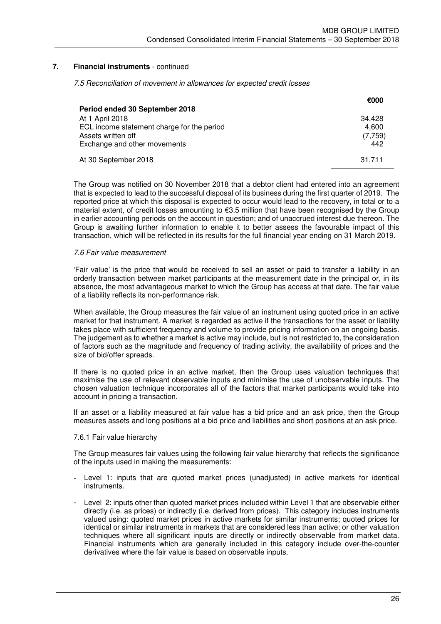*7.5 Reconciliation of movement in allowances for expected credit losses* 

|                                            | €000    |
|--------------------------------------------|---------|
| Period ended 30 September 2018             |         |
| At 1 April 2018                            | 34.428  |
| ECL income statement charge for the period | 4.600   |
| Assets written off                         | (7,759) |
| Exchange and other movements               | 442     |
| At 30 September 2018                       | 31.711  |

The Group was notified on 30 November 2018 that a debtor client had entered into an agreement that is expected to lead to the successful disposal of its business during the first quarter of 2019. The reported price at which this disposal is expected to occur would lead to the recovery, in total or to a material extent, of credit losses amounting to  $\epsilon$ 3.5 million that have been recognised by the Group in earlier accounting periods on the account in question; and of unaccrued interest due thereon. The Group is awaiting further information to enable it to better assess the favourable impact of this transaction, which will be reflected in its results for the full financial year ending on 31 March 2019.

#### *7.6 Fair value measurement*

'Fair value' is the price that would be received to sell an asset or paid to transfer a liability in an orderly transaction between market participants at the measurement date in the principal or, in its absence, the most advantageous market to which the Group has access at that date. The fair value of a liability reflects its non-performance risk.

When available, the Group measures the fair value of an instrument using quoted price in an active market for that instrument. A market is regarded as active if the transactions for the asset or liability takes place with sufficient frequency and volume to provide pricing information on an ongoing basis. The judgement as to whether a market is active may include, but is not restricted to, the consideration of factors such as the magnitude and frequency of trading activity, the availability of prices and the size of bid/offer spreads.

If there is no quoted price in an active market, then the Group uses valuation techniques that maximise the use of relevant observable inputs and minimise the use of unobservable inputs. The chosen valuation technique incorporates all of the factors that market participants would take into account in pricing a transaction.

If an asset or a liability measured at fair value has a bid price and an ask price, then the Group measures assets and long positions at a bid price and liabilities and short positions at an ask price.

#### 7.6.1 Fair value hierarchy

The Group measures fair values using the following fair value hierarchy that reflects the significance of the inputs used in making the measurements:

- Level 1: inputs that are quoted market prices (unadiusted) in active markets for identical instruments.
- Level 2: inputs other than quoted market prices included within Level 1 that are observable either directly (i.e. as prices) or indirectly (i.e. derived from prices). This category includes instruments valued using: quoted market prices in active markets for similar instruments; quoted prices for identical or similar instruments in markets that are considered less than active; or other valuation techniques where all significant inputs are directly or indirectly observable from market data. Financial instruments which are generally included in this category include over-the-counter derivatives where the fair value is based on observable inputs.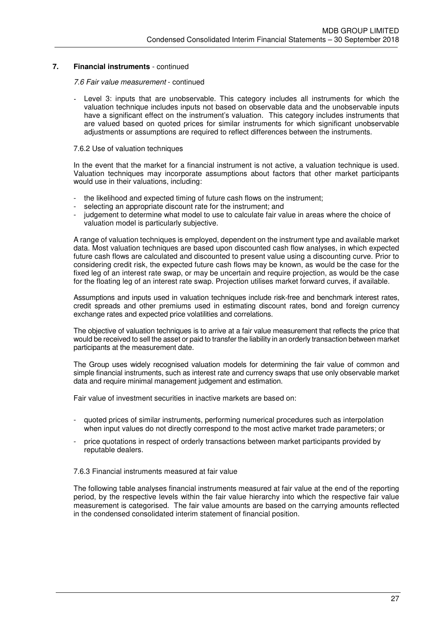#### *7.6 Fair value measurement* - continued

Level 3: inputs that are unobservable. This category includes all instruments for which the valuation technique includes inputs not based on observable data and the unobservable inputs have a significant effect on the instrument's valuation. This category includes instruments that are valued based on quoted prices for similar instruments for which significant unobservable adjustments or assumptions are required to reflect differences between the instruments.

#### 7.6.2 Use of valuation techniques

In the event that the market for a financial instrument is not active, a valuation technique is used. Valuation techniques may incorporate assumptions about factors that other market participants would use in their valuations, including:

- the likelihood and expected timing of future cash flows on the instrument:
- selecting an appropriate discount rate for the instrument; and
- judgement to determine what model to use to calculate fair value in areas where the choice of valuation model is particularly subjective.

A range of valuation techniques is employed, dependent on the instrument type and available market data. Most valuation techniques are based upon discounted cash flow analyses, in which expected future cash flows are calculated and discounted to present value using a discounting curve. Prior to considering credit risk, the expected future cash flows may be known, as would be the case for the fixed leg of an interest rate swap, or may be uncertain and require projection, as would be the case for the floating leg of an interest rate swap. Projection utilises market forward curves, if available.

Assumptions and inputs used in valuation techniques include risk-free and benchmark interest rates, credit spreads and other premiums used in estimating discount rates, bond and foreign currency exchange rates and expected price volatilities and correlations.

The objective of valuation techniques is to arrive at a fair value measurement that reflects the price that would be received to sell the asset or paid to transfer the liability in an orderly transaction between market participants at the measurement date.

The Group uses widely recognised valuation models for determining the fair value of common and simple financial instruments, such as interest rate and currency swaps that use only observable market data and require minimal management judgement and estimation.

Fair value of investment securities in inactive markets are based on:

- quoted prices of similar instruments, performing numerical procedures such as interpolation when input values do not directly correspond to the most active market trade parameters; or
- price quotations in respect of orderly transactions between market participants provided by reputable dealers.

#### 7.6.3 Financial instruments measured at fair value

The following table analyses financial instruments measured at fair value at the end of the reporting period, by the respective levels within the fair value hierarchy into which the respective fair value measurement is categorised. The fair value amounts are based on the carrying amounts reflected in the condensed consolidated interim statement of financial position.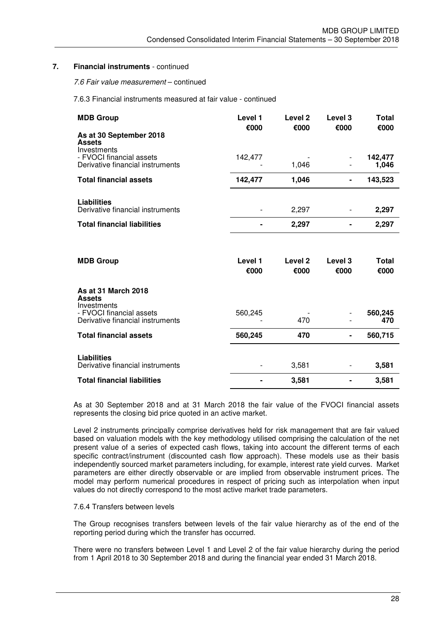*7.6 Fair value measurement* – continued

7.6.3 Financial instruments measured at fair value - continued

| <b>MDB Group</b>                                                            | Level 1<br>€000 | Level <sub>2</sub><br>€000 | Level <sub>3</sub><br>€000 | Total<br>€000        |
|-----------------------------------------------------------------------------|-----------------|----------------------------|----------------------------|----------------------|
| As at 30 September 2018<br><b>Assets</b><br>Investments                     |                 |                            |                            |                      |
| - FVOCI financial assets<br>Derivative financial instruments                | 142,477         | 1,046                      | $\overline{\phantom{0}}$   | 142,477<br>1,046     |
| <b>Total financial assets</b>                                               | 142,477         | 1,046                      |                            | 143,523              |
| <b>Liabilities</b><br>Derivative financial instruments                      |                 | 2,297                      |                            | 2,297                |
| <b>Total financial liabilities</b>                                          |                 | 2,297                      |                            | 2,297                |
|                                                                             |                 |                            |                            |                      |
|                                                                             |                 |                            |                            |                      |
| <b>MDB Group</b>                                                            | Level 1<br>€000 | Level <sub>2</sub><br>€000 | Level <sub>3</sub><br>€000 | <b>Total</b><br>€000 |
| As at 31 March 2018<br><b>Assets</b>                                        |                 |                            |                            |                      |
| Investments<br>- FVOCI financial assets<br>Derivative financial instruments | 560,245         | 470                        |                            | 560,245<br>470       |
| <b>Total financial assets</b>                                               | 560,245         | 470                        |                            | 560,715              |
|                                                                             |                 |                            |                            |                      |
| <b>Liabilities</b><br>Derivative financial instruments                      |                 | 3,581                      |                            | 3,581                |

As at 30 September 2018 and at 31 March 2018 the fair value of the FVOCI financial assets represents the closing bid price quoted in an active market.

Level 2 instruments principally comprise derivatives held for risk management that are fair valued based on valuation models with the key methodology utilised comprising the calculation of the net present value of a series of expected cash flows, taking into account the different terms of each specific contract/instrument (discounted cash flow approach). These models use as their basis independently sourced market parameters including, for example, interest rate yield curves. Market parameters are either directly observable or are implied from observable instrument prices. The model may perform numerical procedures in respect of pricing such as interpolation when input values do not directly correspond to the most active market trade parameters.

#### 7.6.4 Transfers between levels

The Group recognises transfers between levels of the fair value hierarchy as of the end of the reporting period during which the transfer has occurred.

There were no transfers between Level 1 and Level 2 of the fair value hierarchy during the period from 1 April 2018 to 30 September 2018 and during the financial year ended 31 March 2018.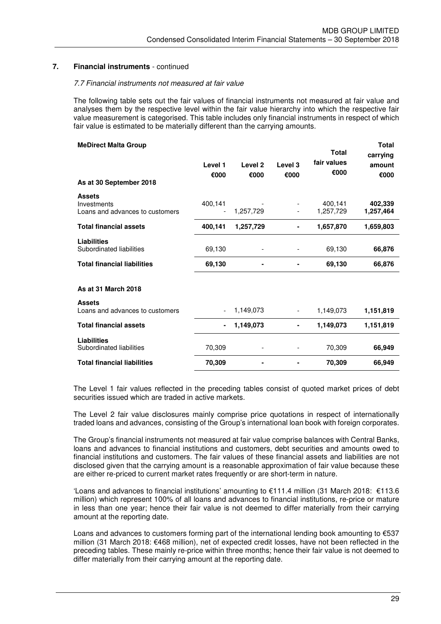#### *7.7 Financial instruments not measured at fair value*

The following table sets out the fair values of financial instruments not measured at fair value and analyses them by the respective level within the fair value hierarchy into which the respective fair value measurement is categorised. This table includes only financial instruments in respect of which fair value is estimated to be materially different than the carrying amounts.

| <b>MeDirect Malta Group</b>                                     |                 |                            |                          | <b>Total</b>         | <b>Total</b><br>carrying |
|-----------------------------------------------------------------|-----------------|----------------------------|--------------------------|----------------------|--------------------------|
| As at 30 September 2018                                         | Level 1<br>€000 | Level <sub>2</sub><br>€000 | Level 3<br>€000          | fair values<br>€000  | amount<br>€000           |
|                                                                 |                 |                            |                          |                      |                          |
| <b>Assets</b><br>Investments<br>Loans and advances to customers | 400,141         | 1,257,729                  |                          | 400,141<br>1,257,729 | 402,339<br>1,257,464     |
| <b>Total financial assets</b>                                   | 400,141         | 1,257,729                  |                          | 1,657,870            | 1,659,803                |
| <b>Liabilities</b><br>Subordinated liabilities                  | 69,130          |                            |                          | 69,130               | 66,876                   |
| <b>Total financial liabilities</b>                              | 69,130          |                            |                          | 69,130               | 66,876                   |
| As at 31 March 2018                                             |                 |                            |                          |                      |                          |
| <b>Assets</b><br>Loans and advances to customers                |                 | 1,149,073                  | $\overline{\phantom{0}}$ | 1,149,073            | 1,151,819                |
| <b>Total financial assets</b>                                   | $\blacksquare$  | 1,149,073                  | ۰                        | 1,149,073            | 1,151,819                |
| <b>Liabilities</b><br>Subordinated liabilities                  | 70,309          |                            |                          | 70,309               | 66,949                   |
| <b>Total financial liabilities</b>                              | 70,309          |                            |                          | 70,309               | 66,949                   |

The Level 1 fair values reflected in the preceding tables consist of quoted market prices of debt securities issued which are traded in active markets.

The Level 2 fair value disclosures mainly comprise price quotations in respect of internationally traded loans and advances, consisting of the Group's international loan book with foreign corporates.

The Group's financial instruments not measured at fair value comprise balances with Central Banks, loans and advances to financial institutions and customers, debt securities and amounts owed to financial institutions and customers. The fair values of these financial assets and liabilities are not disclosed given that the carrying amount is a reasonable approximation of fair value because these are either re-priced to current market rates frequently or are short-term in nature.

'Loans and advances to financial institutions' amounting to €111.4 million (31 March 2018: €113.6 million) which represent 100% of all loans and advances to financial institutions, re-price or mature in less than one year; hence their fair value is not deemed to differ materially from their carrying amount at the reporting date.

Loans and advances to customers forming part of the international lending book amounting to  $\epsilon$ 537 million (31 March 2018: €468 million), net of expected credit losses, have not been reflected in the preceding tables. These mainly re-price within three months; hence their fair value is not deemed to differ materially from their carrying amount at the reporting date.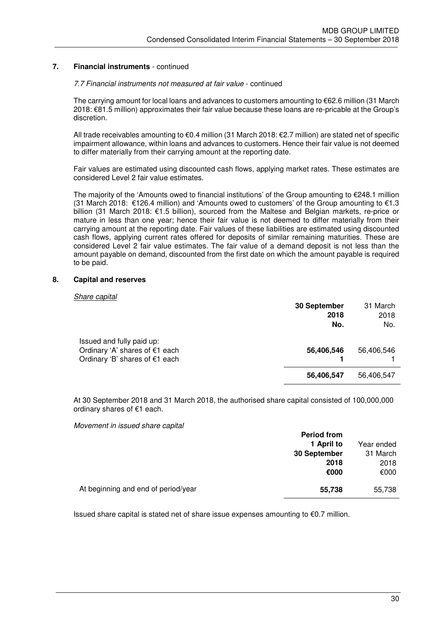#### *7.7 Financial instruments not measured at fair value* - continued

The carrying amount for local loans and advances to customers amounting to €62.6 million (31 March 2018: €81.5 million) approximates their fair value because these loans are re-pricable at the Group's discretion.

All trade receivables amounting to €0.4 million (31 March 2018: €2.7 million) are stated net of specific impairment allowance, within loans and advances to customers. Hence their fair value is not deemed to differ materially from their carrying amount at the reporting date.

Fair values are estimated using discounted cash flows, applying market rates. These estimates are considered Level 2 fair value estimates.

The majority of the 'Amounts owed to financial institutions' of the Group amounting to  $\epsilon$ 248.1 million (31 March 2018: €126.4 million) and 'Amounts owed to customers' of the Group amounting to  $€1.3$ billion (31 March 2018: €1.5 billion), sourced from the Maltese and Belgian markets, re-price or mature in less than one year; hence their fair value is not deemed to differ materially from their carrying amount at the reporting date. Fair values of these liabilities are estimated using discounted cash flows, applying current rates offered for deposits of similar remaining maturities. These are considered Level 2 fair value estimates. The fair value of a demand deposit is not less than the amount payable on demand, discounted from the first date on which the amount payable is required to be paid.

#### **8. Capital and reserves**

#### *Share capital*

|                                                                                               | 30 September<br>2018<br>No. | 31 March<br>2018<br>No. |
|-----------------------------------------------------------------------------------------------|-----------------------------|-------------------------|
| Issued and fully paid up:<br>Ordinary 'A' shares of €1 each<br>Ordinary 'B' shares of €1 each | 56,406,546                  | 56,406,546              |
|                                                                                               | 56,406,547                  | 56,406,547              |

At 30 September 2018 and 31 March 2018, the authorised share capital consisted of 100,000,000 ordinary shares of €1 each.

 *Movement in issued share capital* 

|                                     | <b>Period from</b> |            |
|-------------------------------------|--------------------|------------|
|                                     | 1 April to         | Year ended |
|                                     | 30 September       | 31 March   |
|                                     | 2018               | 2018       |
|                                     | €000               | €000       |
| At beginning and end of period/year | 55,738             | 55,738     |

Issued share capital is stated net of share issue expenses amounting to €0.7 million.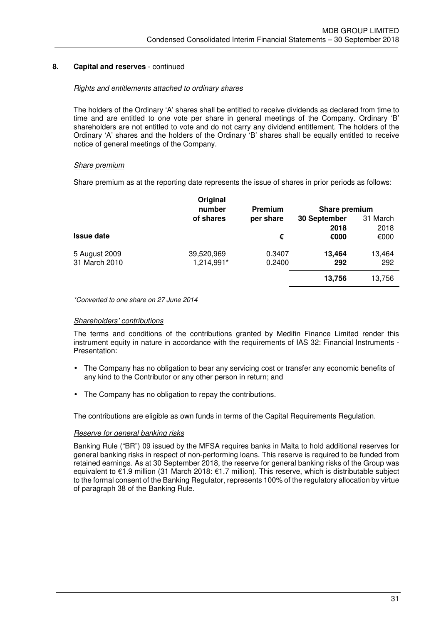## **8. Capital and reserves** - continued

#### *Rights and entitlements attached to ordinary shares*

The holders of the Ordinary 'A' shares shall be entitled to receive dividends as declared from time to time and are entitled to one vote per share in general meetings of the Company. Ordinary 'B' shareholders are not entitled to vote and do not carry any dividend entitlement. The holders of the Ordinary 'A' shares and the holders of the Ordinary 'B' shares shall be equally entitled to receive notice of general meetings of the Company.

#### *Share premium*

Share premium as at the reporting date represents the issue of shares in prior periods as follows:

|                   | Original<br>number | Premium   | Share premium |          |  |
|-------------------|--------------------|-----------|---------------|----------|--|
|                   | of shares          | per share | 30 September  | 31 March |  |
|                   |                    |           | 2018          | 2018     |  |
| <b>Issue date</b> |                    | €         | €000          | €000     |  |
| 5 August 2009     | 39,520,969         | 0.3407    | 13,464        | 13,464   |  |
| 31 March 2010     | 1,214,991*         | 0.2400    | 292           | 292      |  |
|                   |                    |           | 13,756        | 13,756   |  |
|                   |                    |           |               |          |  |

*\*Converted to one share on 27 June 2014*

#### *Shareholders' contributions*

The terms and conditions of the contributions granted by Medifin Finance Limited render this instrument equity in nature in accordance with the requirements of IAS 32: Financial Instruments - Presentation:

- The Company has no obligation to bear any servicing cost or transfer any economic benefits of any kind to the Contributor or any other person in return; and
- The Company has no obligation to repay the contributions.

The contributions are eligible as own funds in terms of the Capital Requirements Regulation.

#### *Reserve for general banking risks*

Banking Rule ("BR") 09 issued by the MFSA requires banks in Malta to hold additional reserves for general banking risks in respect of non-performing loans. This reserve is required to be funded from retained earnings. As at 30 September 2018, the reserve for general banking risks of the Group was equivalent to €1.9 million (31 March 2018: €1.7 million). This reserve, which is distributable subject to the formal consent of the Banking Regulator, represents 100% of the regulatory allocation by virtue of paragraph 38 of the Banking Rule.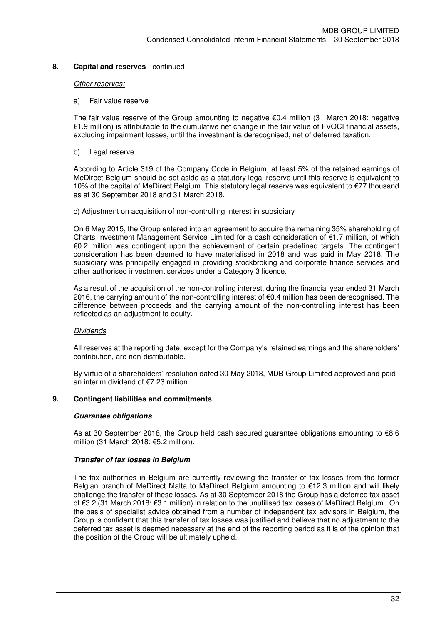#### **8. Capital and reserves** - continued

#### *Other reserves:*

#### a) Fair value reserve

The fair value reserve of the Group amounting to negative €0.4 million (31 March 2018: negative €1.9 million) is attributable to the cumulative net change in the fair value of FVOCI financial assets, excluding impairment losses, until the investment is derecognised, net of deferred taxation.

#### b) Legal reserve

 According to Article 319 of the Company Code in Belgium, at least 5% of the retained earnings of MeDirect Belgium should be set aside as a statutory legal reserve until this reserve is equivalent to 10% of the capital of MeDirect Belgium. This statutory legal reserve was equivalent to €77 thousand as at 30 September 2018 and 31 March 2018.

c) Adjustment on acquisition of non-controlling interest in subsidiary

 On 6 May 2015, the Group entered into an agreement to acquire the remaining 35% shareholding of Charts Investment Management Service Limited for a cash consideration of €1.7 million, of which €0.2 million was contingent upon the achievement of certain predefined targets. The contingent consideration has been deemed to have materialised in 2018 and was paid in May 2018. The subsidiary was principally engaged in providing stockbroking and corporate finance services and other authorised investment services under a Category 3 licence.

As a result of the acquisition of the non-controlling interest, during the financial year ended 31 March 2016, the carrying amount of the non-controlling interest of  $\epsilon$ 0.4 million has been derecognised. The difference between proceeds and the carrying amount of the non-controlling interest has been reflected as an adjustment to equity.

#### *Dividends*

All reserves at the reporting date, except for the Company's retained earnings and the shareholders' contribution, are non-distributable.

By virtue of a shareholders' resolution dated 30 May 2018, MDB Group Limited approved and paid an interim dividend of €7.23 million.

#### **9. Contingent liabilities and commitments**

#### **Guarantee obligations**

 As at 30 September 2018, the Group held cash secured guarantee obligations amounting to €8.6 million (31 March 2018: €5.2 million).

#### **Transfer of tax losses in Belgium**

The tax authorities in Belgium are currently reviewing the transfer of tax losses from the former Belgian branch of MeDirect Malta to MeDirect Belgium amounting to €12.3 million and will likely challenge the transfer of these losses. As at 30 September 2018 the Group has a deferred tax asset of €3.2 (31 March 2018: €3.1 million) in relation to the unutilised tax losses of MeDirect Belgium. On the basis of specialist advice obtained from a number of independent tax advisors in Belgium, the Group is confident that this transfer of tax losses was justified and believe that no adjustment to the deferred tax asset is deemed necessary at the end of the reporting period as it is of the opinion that the position of the Group will be ultimately upheld.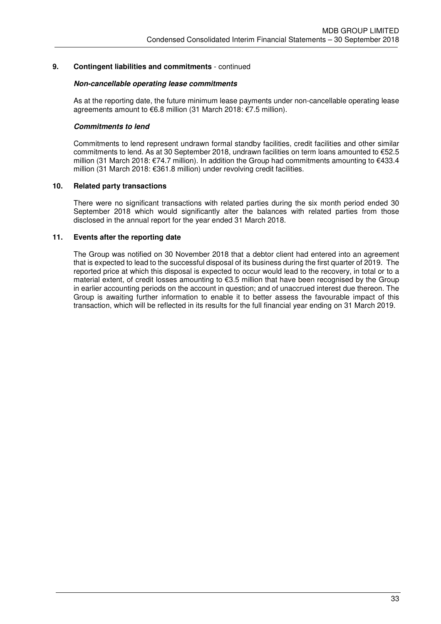## **9. Contingent liabilities and commitments** - continued

#### **Non-cancellable operating lease commitments**

 As at the reporting date, the future minimum lease payments under non-cancellable operating lease agreements amount to €6.8 million (31 March 2018: €7.5 million).

#### **Commitments to lend**

 Commitments to lend represent undrawn formal standby facilities, credit facilities and other similar commitments to lend. As at 30 September 2018, undrawn facilities on term loans amounted to €52.5 million (31 March 2018: €74.7 million). In addition the Group had commitments amounting to €433.4 million (31 March 2018: €361.8 million) under revolving credit facilities.

## **10. Related party transactions**

There were no significant transactions with related parties during the six month period ended 30 September 2018 which would significantly alter the balances with related parties from those disclosed in the annual report for the year ended 31 March 2018.

## **11. Events after the reporting date**

The Group was notified on 30 November 2018 that a debtor client had entered into an agreement that is expected to lead to the successful disposal of its business during the first quarter of 2019. The reported price at which this disposal is expected to occur would lead to the recovery, in total or to a material extent, of credit losses amounting to €3.5 million that have been recognised by the Group in earlier accounting periods on the account in question; and of unaccrued interest due thereon. The Group is awaiting further information to enable it to better assess the favourable impact of this transaction, which will be reflected in its results for the full financial year ending on 31 March 2019.